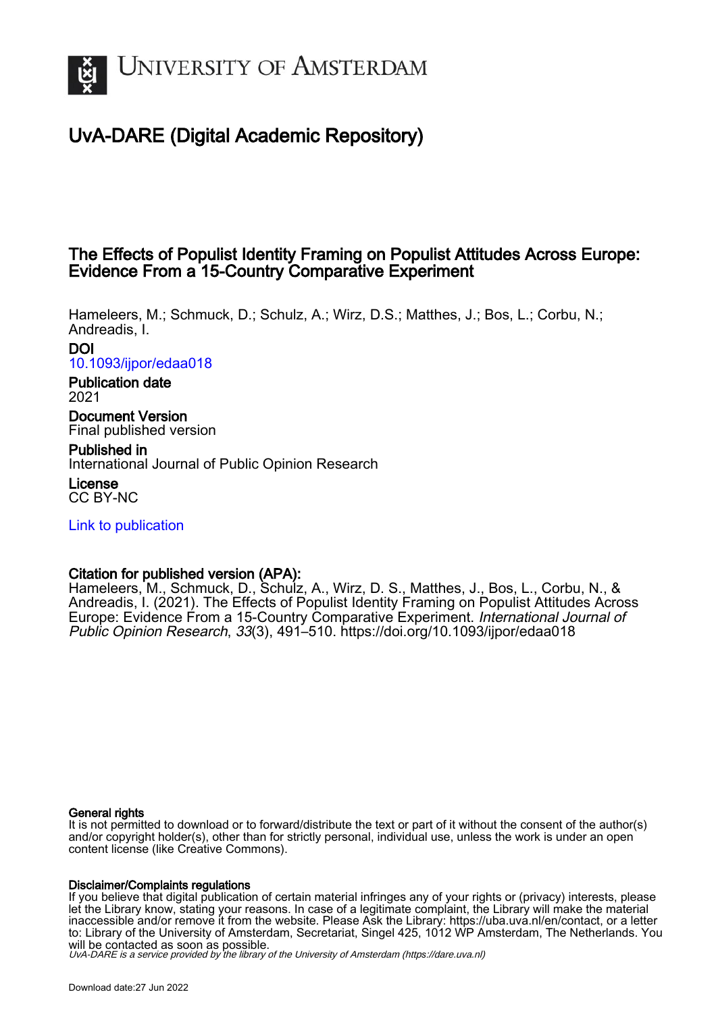

# UvA-DARE (Digital Academic Repository)

# The Effects of Populist Identity Framing on Populist Attitudes Across Europe: Evidence From a 15-Country Comparative Experiment

Hameleers, M.; Schmuck, D.; Schulz, A.; Wirz, D.S.; Matthes, J.; Bos, L.; Corbu, N.; Andreadis, I. DOI

[10.1093/ijpor/edaa018](https://doi.org/10.1093/ijpor/edaa018)

# Publication date 2021

Document Version Final published version

Published in International Journal of Public Opinion Research

License CC BY-NC

[Link to publication](https://dare.uva.nl/personal/pure/en/publications/the-effects-of-populist-identity-framing-on-populist-attitudes-across-europe-evidence-from-a-15country-comparative-experiment(35a026b9-564b-43b3-a595-2ce5975a6c97).html)

# Citation for published version (APA):

Hameleers, M., Schmuck, D., Schulz, A., Wirz, D. S., Matthes, J., Bos, L., Corbu, N., & Andreadis, I. (2021). The Effects of Populist Identity Framing on Populist Attitudes Across Europe: Evidence From a 15-Country Comparative Experiment. International Journal of Public Opinion Research, 33(3), 491–510. <https://doi.org/10.1093/ijpor/edaa018>

# General rights

It is not permitted to download or to forward/distribute the text or part of it without the consent of the author(s) and/or copyright holder(s), other than for strictly personal, individual use, unless the work is under an open content license (like Creative Commons).

# Disclaimer/Complaints regulations

If you believe that digital publication of certain material infringes any of your rights or (privacy) interests, please let the Library know, stating your reasons. In case of a legitimate complaint, the Library will make the material inaccessible and/or remove it from the website. Please Ask the Library: https://uba.uva.nl/en/contact, or a letter to: Library of the University of Amsterdam, Secretariat, Singel 425, 1012 WP Amsterdam, The Netherlands. You will be contacted as soon as possible.

UvA-DARE is a service provided by the library of the University of Amsterdam (http*s*://dare.uva.nl)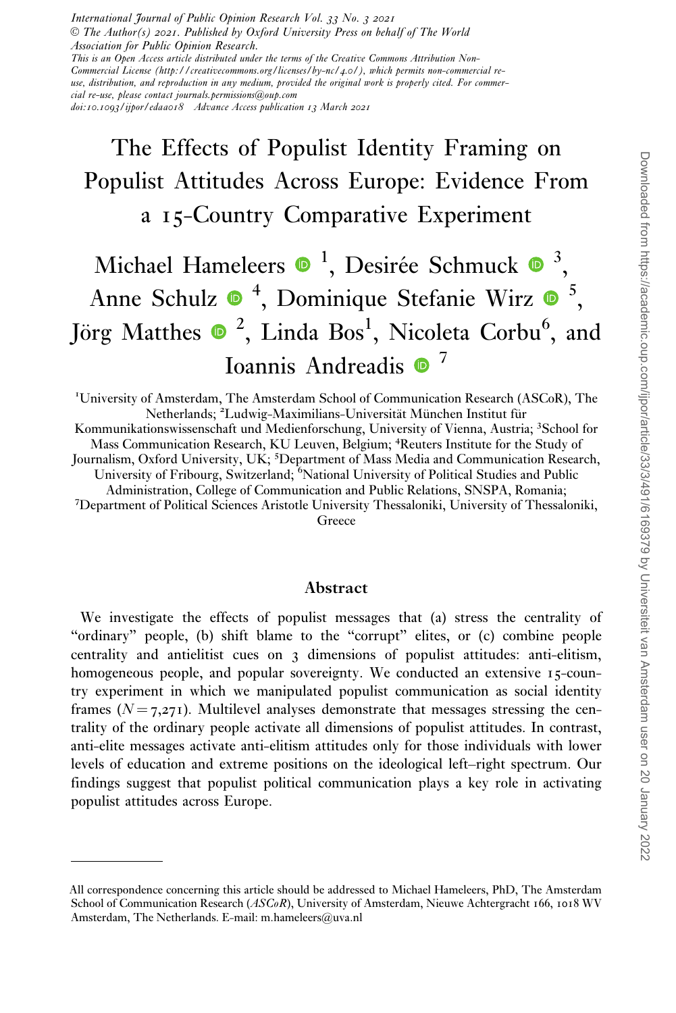International Journal of Public Opinion Research Vol. 33 No. 3 2021 V<sup>C</sup> The Author(s) 2021. Published by Oxford University Press on behalf of The World Association for Public Opinion Research. This is an Open Access article distributed under the terms of the Creative Commons Attribution Non-Commercial License (http://creativecommons.org/licenses/by-nc/4.0/), which permits non-commercial reuse, distribution, and reproduction in any medium, provided the original work is properly cited. For commer-

cial re-use, please contact journals.permissions@oup.com

doi:10.1093/ijpor/edaa018 Advance Access publication 13 March 2021

# The Effects of Populist Identity Framing on Populist Attitudes Across Europe: Evidence From a 15-Country Comparative Experiment

# Michael Hameleers  $\bullet$  <sup>1</sup>, Desirée Schmuck  $\bullet$  <sup>3</sup>, Anne Schulz  $\bullet$ <sup>4</sup>, Dominique Stefanie Wirz  $\bullet$ <sup>5</sup>, Jörg Matthes  $\bullet$  <sup>2</sup>, Linda Bos<sup>1</sup>, Nicoleta Corbu<sup>6</sup>, and Ioannis Andreadis <sup>0</sup><sup>7</sup>

<sup>1</sup>University of Amsterdam, The Amsterdam School of Communication Research (ASCoR), The Netherlands; <sup>2</sup>Ludwig-Maximilians-Universität München Institut für Kommunikationswissenschaft und Medienforschung, University of Vienna, Austria; <sup>3</sup>School for Mass Communication Research, KU Leuven, Belgium; <sup>4</sup> Reuters Institute for the Study of Journalism, Oxford University, UK; <sup>5</sup>Department of Mass Media and Communication Research, University of Fribourg, Switzerland; Mational University of Political Studies and Public Administration, College of Communication and Public Relations, SNSPA, Romania; <sup>7</sup> Department of Political Sciences Aristotle University Thessaloniki, University of Thessaloniki, Greece

### Abstract

We investigate the effects of populist messages that (a) stress the centrality of "ordinary" people, (b) shift blame to the "corrupt" elites, or (c) combine people centrality and antielitist cues on 3 dimensions of populist attitudes: anti-elitism, homogeneous people, and popular sovereignty. We conducted an extensive 15-country experiment in which we manipulated populist communication as social identity frames  $(N = 7,271)$ . Multilevel analyses demonstrate that messages stressing the centrality of the ordinary people activate all dimensions of populist attitudes. In contrast, anti-elite messages activate anti-elitism attitudes only for those individuals with lower levels of education and extreme positions on the ideological left–right spectrum. Our findings suggest that populist political communication plays a key role in activating populist attitudes across Europe.

All correspondence concerning this article should be addressed to Michael Hameleers, PhD, The Amsterdam School of Communication Research (ASCoR), University of Amsterdam, Nieuwe Achtergracht 166, 1018 WV Amsterdam, The Netherlands. E-mail: m.hameleers@uva.nl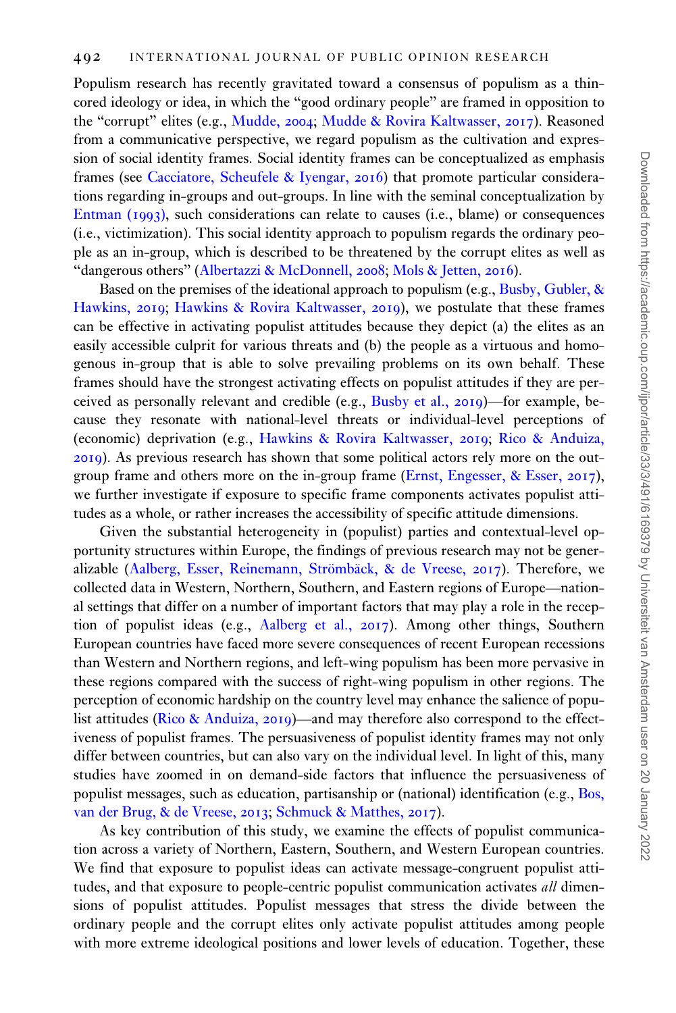Populism research has recently gravitated toward a consensus of populism as a thincored ideology or idea, in which the "good ordinary people" are framed in opposition to the "corrupt" elites (e.g., [Mudde,](#page-19-0) 2004; [Mudde & Rovira Kaltwasser,](#page-20-0) 2017). Reasoned from a communicative perspective, we regard populism as the cultivation and expression of social identity frames. Social identity frames can be conceptualized as emphasis frames (see [Cacciatore, Scheufele & Iyengar,](#page-18-0) 2016) that promote particular considerations regarding in-groups and out-groups. In line with the seminal conceptualization by [Entman \(](#page-19-0)1993), such considerations can relate to causes (i.e., blame) or consequences (i.e., victimization). This social identity approach to populism regards the ordinary people as an in-group, which is described to be threatened by the corrupt elites as well as "dangerous others" ([Albertazzi](#page-18-0) [& McDonnell,](#page-18-0) 2008; [Mols & Jetten,](#page-19-0) 2016).

Based on the premises of the ideational approach to populism (e.g., [Busby, Gubler,](#page-18-0) & [Hawkins,](#page-18-0) 2019; [Hawkins](#page-19-0) & [Rovira Kaltwasser,](#page-19-0) 2019), we postulate that these frames can be effective in activating populist attitudes because they depict (a) the elites as an easily accessible culprit for various threats and (b) the people as a virtuous and homogenous in-group that is able to solve prevailing problems on its own behalf. These frames should have the strongest activating effects on populist attitudes if they are perceived as personally relevant and credible (e.g., [Busby et al.,](#page-18-0) 2019)—for example, because they resonate with national-level threats or individual-level perceptions of (economic) deprivation (e.g., [Hawkins](#page-19-0) & [Rovira Kaltwasser,](#page-19-0) 2019; [Rico & Anduiza,](#page-20-0) [2019](#page-20-0)). As previous research has shown that some political actors rely more on the outgroup frame and others more on the in-group frame ([Ernst, Engesser,](#page-19-0) [& Esser,](#page-19-0) 2017), we further investigate if exposure to specific frame components activates populist attitudes as a whole, or rather increases the accessibility of specific attitude dimensions.

Given the substantial heterogeneity in (populist) parties and contextual-level opportunity structures within Europe, the findings of previous research may not be generalizable (Aalberg, Esser, Reinemann, Strömbäck, & de Vreese, 2017). Therefore, we collected data in Western, Northern, Southern, and Eastern regions of Europe—national settings that differ on a number of important factors that may play a role in the reception of populist ideas (e.g., [Aalberg et al.,](#page-18-0) 2017). Among other things, Southern European countries have faced more severe consequences of recent European recessions than Western and Northern regions, and left-wing populism has been more pervasive in these regions compared with the success of right-wing populism in other regions. The perception of economic hardship on the country level may enhance the salience of popu-list attitudes [\(Rico & Anduiza,](#page-20-0) 2019)—and may therefore also correspond to the effectiveness of populist frames. The persuasiveness of populist identity frames may not only differ between countries, but can also vary on the individual level. In light of this, many studies have zoomed in on demand-side factors that influence the persuasiveness of populist messages, such as education, partisanship or (national) identification (e.g., [Bos,](#page-18-0) [van der Brug, & de Vreese,](#page-18-0) 2013; [Schmuck](#page-20-0) & [Matthes,](#page-20-0) 2017).

As key contribution of this study, we examine the effects of populist communication across a variety of Northern, Eastern, Southern, and Western European countries. We find that exposure to populist ideas can activate message-congruent populist attitudes, and that exposure to people-centric populist communication activates all dimensions of populist attitudes. Populist messages that stress the divide between the ordinary people and the corrupt elites only activate populist attitudes among people with more extreme ideological positions and lower levels of education. Together, these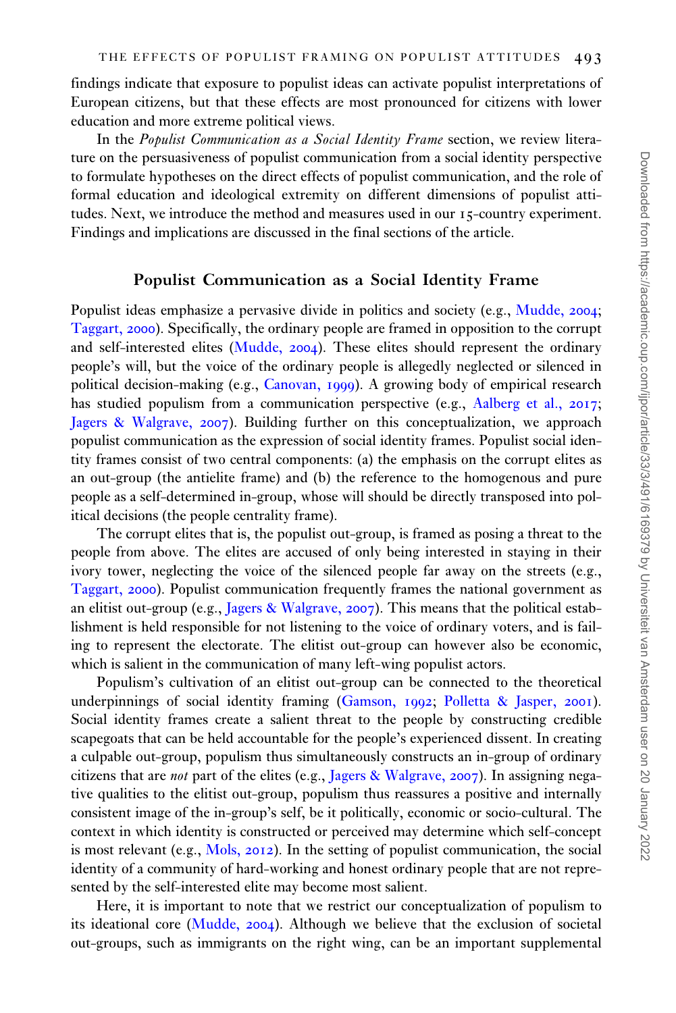findings indicate that exposure to populist ideas can activate populist interpretations of European citizens, but that these effects are most pronounced for citizens with lower education and more extreme political views.

In the Populist Communication as a Social Identity Frame section, we review literature on the persuasiveness of populist communication from a social identity perspective to formulate hypotheses on the direct effects of populist communication, and the role of formal education and ideological extremity on different dimensions of populist attitudes. Next, we introduce the method and measures used in our 15-country experiment. Findings and implications are discussed in the final sections of the article.

#### Populist Communication as a Social Identity Frame

Populist ideas emphasize a pervasive divide in politics and society (e.g., [Mudde,](#page-19-0) 2004; [Taggart,](#page-20-0) 2000). Specifically, the ordinary people are framed in opposition to the corrupt and self-interested elites [\(Mudde,](#page-19-0) 2004). These elites should represent the ordinary people's will, but the voice of the ordinary people is allegedly neglected or silenced in political decision-making (e.g., [Canovan,](#page-18-0) 1999). A growing body of empirical research has studied populism from a communication perspective (e.g., [Aalberg et al.,](#page-18-0) 2017; [Jagers & Walgrave,](#page-19-0) 2007). Building further on this conceptualization, we approach populist communication as the expression of social identity frames. Populist social identity frames consist of two central components: (a) the emphasis on the corrupt elites as an out-group (the antielite frame) and (b) the reference to the homogenous and pure people as a self-determined in-group, whose will should be directly transposed into political decisions (the people centrality frame).

The corrupt elites that is, the populist out-group, is framed as posing a threat to the people from above. The elites are accused of only being interested in staying in their ivory tower, neglecting the voice of the silenced people far away on the streets (e.g., [Taggart,](#page-20-0) 2000). Populist communication frequently frames the national government as an elitist out-group (e.g., [Jagers & Walgrave,](#page-19-0) 2007). This means that the political establishment is held responsible for not listening to the voice of ordinary voters, and is failing to represent the electorate. The elitist out-group can however also be economic, which is salient in the communication of many left-wing populist actors.

Populism's cultivation of an elitist out-group can be connected to the theoretical underpinnings of social identity framing ([Gamson,](#page-19-0) 1992; [Polletta & Jasper,](#page-20-0) 2001). Social identity frames create a salient threat to the people by constructing credible scapegoats that can be held accountable for the people's experienced dissent. In creating a culpable out-group, populism thus simultaneously constructs an in-group of ordinary citizens that are not part of the elites (e.g., [Jagers](#page-19-0) [& Walgrave,](#page-19-0) 2007). In assigning negative qualities to the elitist out-group, populism thus reassures a positive and internally consistent image of the in-group's self, be it politically, economic or socio-cultural. The context in which identity is constructed or perceived may determine which self-concept is most relevant (e.g., [Mols,](#page-19-0) 2012). In the setting of populist communication, the social identity of a community of hard-working and honest ordinary people that are not represented by the self-interested elite may become most salient.

Here, it is important to note that we restrict our conceptualization of populism to its ideational core [\(Mudde,](#page-19-0) 2004). Although we believe that the exclusion of societal out-groups, such as immigrants on the right wing, can be an important supplemental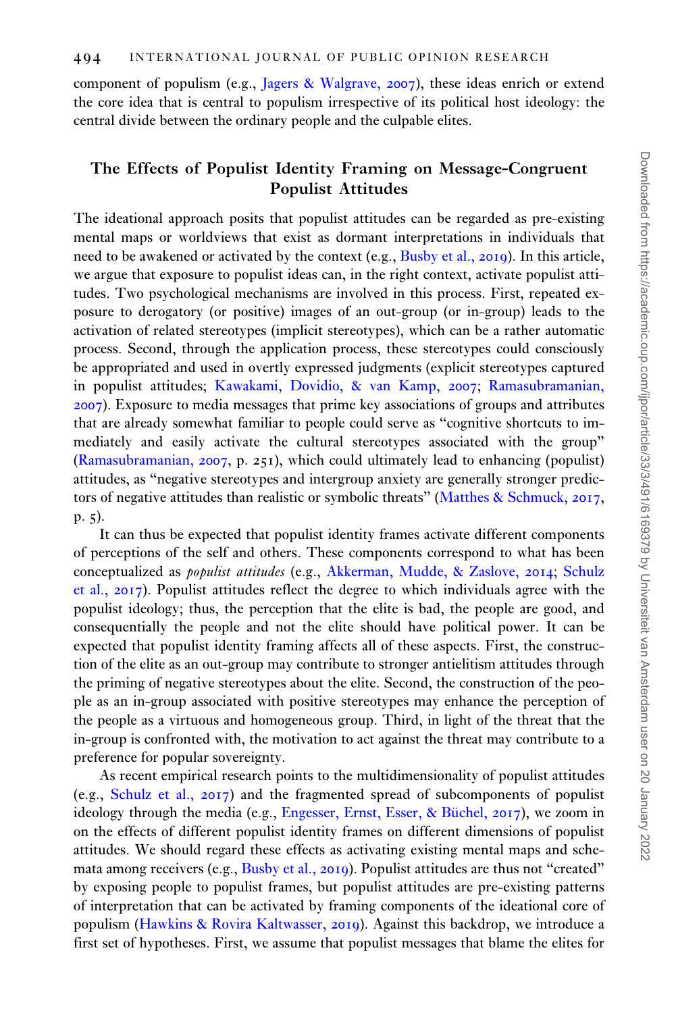component of populism (e.g., [Jagers](#page-19-0) & [Walgrave,](#page-19-0) 2007), these ideas enrich or extend the core idea that is central to populism irrespective of its political host ideology: the central divide between the ordinary people and the culpable elites.

# The Effects of Populist Identity Framing on Message-Congruent Populist Attitudes

The ideational approach posits that populist attitudes can be regarded as pre-existing mental maps or worldviews that exist as dormant interpretations in individuals that need to be awakened or activated by the context (e.g., [Busby et al.,](#page-18-0) 2019). In this article, we argue that exposure to populist ideas can, in the right context, activate populist attitudes. Two psychological mechanisms are involved in this process. First, repeated exposure to derogatory (or positive) images of an out-group (or in-group) leads to the activation of related stereotypes (implicit stereotypes), which can be a rather automatic process. Second, through the application process, these stereotypes could consciously be appropriated and used in overtly expressed judgments (explicit stereotypes captured in populist attitudes; [Kawakami, Dovidio,](#page-19-0) & [van Kamp,](#page-19-0) 2007; [Ramasubramanian,](#page-20-0) [2007](#page-20-0)). Exposure to media messages that prime key associations of groups and attributes that are already somewhat familiar to people could serve as "cognitive shortcuts to immediately and easily activate the cultural stereotypes associated with the group" [\(Ramasubramanian,](#page-20-0) 2007, p. 251), which could ultimately lead to enhancing (populist) attitudes, as "negative stereotypes and intergroup anxiety are generally stronger predictors of negative attitudes than realistic or symbolic threats" ([Matthes & Schmuck,](#page-19-0) 2017, p. 5).

It can thus be expected that populist identity frames activate different components of perceptions of the self and others. These components correspond to what has been conceptualized as populist attitudes (e.g., [Akkerman, Mudde, & Zaslove,](#page-18-0) 2014; [Schulz](#page-20-0) [et al.,](#page-20-0) 2017). Populist attitudes reflect the degree to which individuals agree with the populist ideology; thus, the perception that the elite is bad, the people are good, and consequentially the people and not the elite should have political power. It can be expected that populist identity framing affects all of these aspects. First, the construction of the elite as an out-group may contribute to stronger antielitism attitudes through the priming of negative stereotypes about the elite. Second, the construction of the people as an in-group associated with positive stereotypes may enhance the perception of the people as a virtuous and homogeneous group. Third, in light of the threat that the in-group is confronted with, the motivation to act against the threat may contribute to a preference for popular sovereignty.

As recent empirical research points to the multidimensionality of populist attitudes (e.g., [Schulz et al.,](#page-20-0) 2017) and the fragmented spread of subcomponents of populist ideology through the media (e.g., [Engesser, Ernst, Esser,](#page-19-0) & Büchel,  $2017$ ), we zoom in on the effects of different populist identity frames on different dimensions of populist attitudes. We should regard these effects as activating existing mental maps and schemata among receivers (e.g., [Busby et al.,](#page-18-0) 2019). Populist attitudes are thus not "created" by exposing people to populist frames, but populist attitudes are pre-existing patterns of interpretation that can be activated by framing components of the ideational core of populism [\(Hawkins & Rovira Kaltwasser,](#page-19-0) 2019). Against this backdrop, we introduce a first set of hypotheses. First, we assume that populist messages that blame the elites for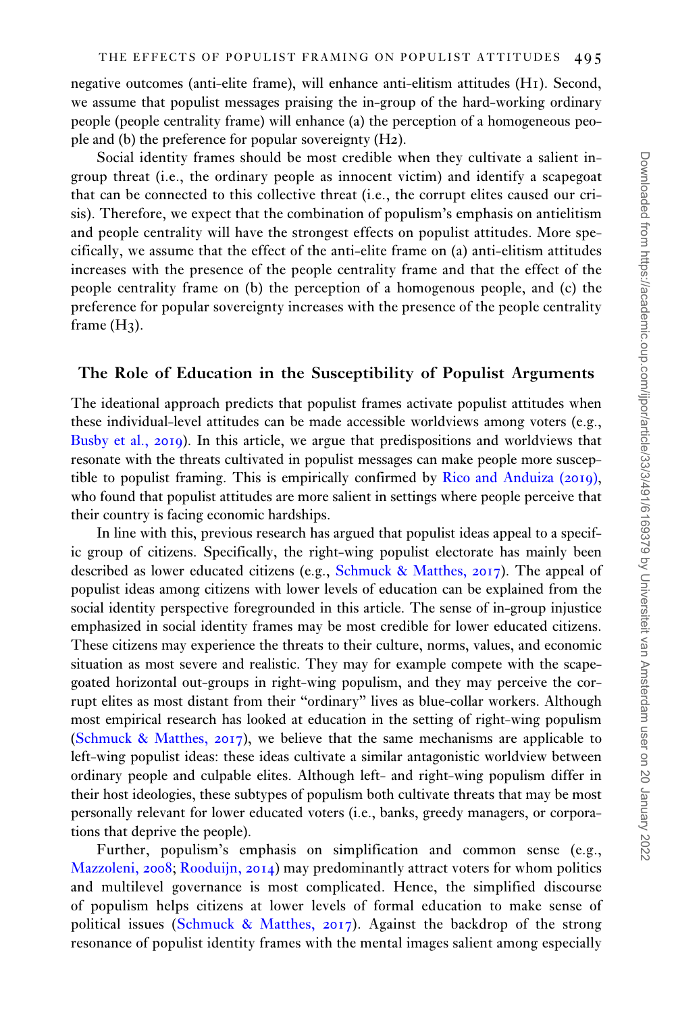negative outcomes (anti-elite frame), will enhance anti-elitism attitudes (H1). Second, we assume that populist messages praising the in-group of the hard-working ordinary people (people centrality frame) will enhance (a) the perception of a homogeneous people and (b) the preference for popular sovereignty (H2).

Social identity frames should be most credible when they cultivate a salient ingroup threat (i.e., the ordinary people as innocent victim) and identify a scapegoat that can be connected to this collective threat (i.e., the corrupt elites caused our crisis). Therefore, we expect that the combination of populism's emphasis on antielitism and people centrality will have the strongest effects on populist attitudes. More specifically, we assume that the effect of the anti-elite frame on (a) anti-elitism attitudes increases with the presence of the people centrality frame and that the effect of the people centrality frame on (b) the perception of a homogenous people, and (c) the preference for popular sovereignty increases with the presence of the people centrality frame  $(H_3)$ .

### The Role of Education in the Susceptibility of Populist Arguments

The ideational approach predicts that populist frames activate populist attitudes when these individual-level attitudes can be made accessible worldviews among voters (e.g., [Busby et al.,](#page-18-0) 2019). In this article, we argue that predispositions and worldviews that resonate with the threats cultivated in populist messages can make people more susceptible to populist framing. This is empirically confirmed by [Rico and Anduiza \(](#page-20-0)2019), who found that populist attitudes are more salient in settings where people perceive that their country is facing economic hardships.

In line with this, previous research has argued that populist ideas appeal to a specific group of citizens. Specifically, the right-wing populist electorate has mainly been described as lower educated citizens (e.g., [Schmuck](#page-20-0) & [Matthes,](#page-20-0) 2017). The appeal of populist ideas among citizens with lower levels of education can be explained from the social identity perspective foregrounded in this article. The sense of in-group injustice emphasized in social identity frames may be most credible for lower educated citizens. These citizens may experience the threats to their culture, norms, values, and economic situation as most severe and realistic. They may for example compete with the scapegoated horizontal out-groups in right-wing populism, and they may perceive the corrupt elites as most distant from their "ordinary" lives as blue-collar workers. Although most empirical research has looked at education in the setting of right-wing populism [\(Schmuck](#page-20-0) [& Matthes,](#page-20-0) 2017), we believe that the same mechanisms are applicable to left-wing populist ideas: these ideas cultivate a similar antagonistic worldview between ordinary people and culpable elites. Although left- and right-wing populism differ in their host ideologies, these subtypes of populism both cultivate threats that may be most personally relevant for lower educated voters (i.e., banks, greedy managers, or corporations that deprive the people).

Further, populism's emphasis on simplification and common sense (e.g., [Mazzoleni,](#page-19-0) 2008; [Rooduijn,](#page-20-0) 2014) may predominantly attract voters for whom politics and multilevel governance is most complicated. Hence, the simplified discourse of populism helps citizens at lower levels of formal education to make sense of political issues ([Schmuck & Matthes,](#page-20-0) 2017). Against the backdrop of the strong resonance of populist identity frames with the mental images salient among especially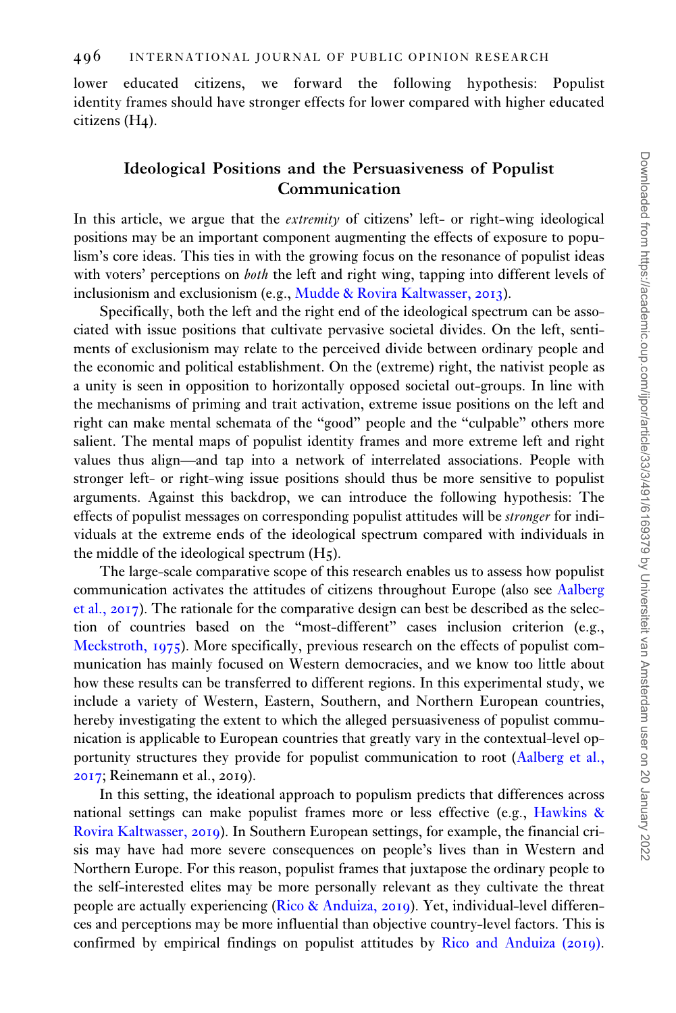lower educated citizens, we forward the following hypothesis: Populist identity frames should have stronger effects for lower compared with higher educated citizens (H4).

# Ideological Positions and the Persuasiveness of Populist Communication

In this article, we argue that the extremity of citizens' left- or right-wing ideological positions may be an important component augmenting the effects of exposure to populism's core ideas. This ties in with the growing focus on the resonance of populist ideas with voters' perceptions on *both* the left and right wing, tapping into different levels of inclusionism and exclusionism (e.g., [Mudde & Rovira Kaltwasser,](#page-20-0) 2013).

Specifically, both the left and the right end of the ideological spectrum can be associated with issue positions that cultivate pervasive societal divides. On the left, sentiments of exclusionism may relate to the perceived divide between ordinary people and the economic and political establishment. On the (extreme) right, the nativist people as a unity is seen in opposition to horizontally opposed societal out-groups. In line with the mechanisms of priming and trait activation, extreme issue positions on the left and right can make mental schemata of the "good" people and the "culpable" others more salient. The mental maps of populist identity frames and more extreme left and right values thus align—and tap into a network of interrelated associations. People with stronger left- or right-wing issue positions should thus be more sensitive to populist arguments. Against this backdrop, we can introduce the following hypothesis: The effects of populist messages on corresponding populist attitudes will be stronger for individuals at the extreme ends of the ideological spectrum compared with individuals in the middle of the ideological spectrum (H5).

The large-scale comparative scope of this research enables us to assess how populist communication activates the attitudes of citizens throughout Europe (also see [Aalberg](#page-18-0) [et al.,](#page-18-0) 2017). The rationale for the comparative design can best be described as the selection of countries based on the "most-different" cases inclusion criterion (e.g., [Meckstroth,](#page-19-0) 1975). More specifically, previous research on the effects of populist communication has mainly focused on Western democracies, and we know too little about how these results can be transferred to different regions. In this experimental study, we include a variety of Western, Eastern, Southern, and Northern European countries, hereby investigating the extent to which the alleged persuasiveness of populist communication is applicable to European countries that greatly vary in the contextual-level opportunity structures they provide for populist communication to root [\(Aalberg et al.,](#page-18-0) [2017](#page-18-0); Reinemann et al., 2019).

In this setting, the ideational approach to populism predicts that differences across national settings can make populist frames more or less effective (e.g., [Hawkins](#page-19-0) & [Rovira Kaltwasser,](#page-19-0) 2019). In Southern European settings, for example, the financial crisis may have had more severe consequences on people's lives than in Western and Northern Europe. For this reason, populist frames that juxtapose the ordinary people to the self-interested elites may be more personally relevant as they cultivate the threat people are actually experiencing [\(Rico & Anduiza,](#page-20-0) 2019). Yet, individual-level differences and perceptions may be more influential than objective country-level factors. This is confirmed by empirical findings on populist attitudes by [Rico and Anduiza \(](#page-20-0)2019).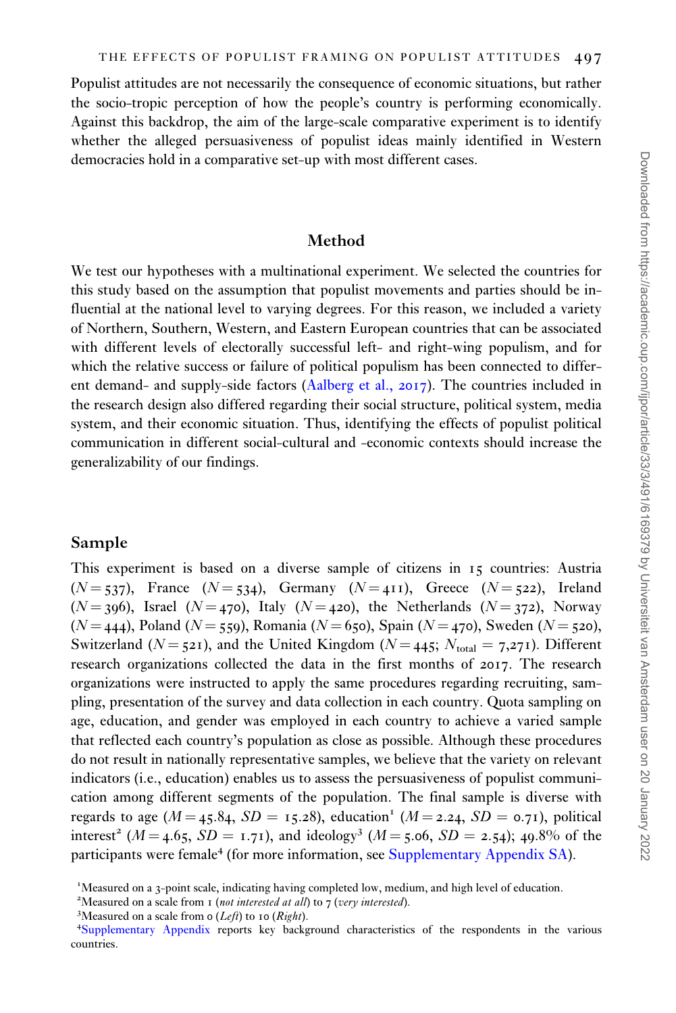Populist attitudes are not necessarily the consequence of economic situations, but rather the socio-tropic perception of how the people's country is performing economically. Against this backdrop, the aim of the large-scale comparative experiment is to identify whether the alleged persuasiveness of populist ideas mainly identified in Western democracies hold in a comparative set-up with most different cases.

#### Method

We test our hypotheses with a multinational experiment. We selected the countries for this study based on the assumption that populist movements and parties should be influential at the national level to varying degrees. For this reason, we included a variety of Northern, Southern, Western, and Eastern European countries that can be associated with different levels of electorally successful left- and right-wing populism, and for which the relative success or failure of political populism has been connected to different demand- and supply-side factors ([Aalberg et al.,](#page-18-0) 2017). The countries included in the research design also differed regarding their social structure, political system, media system, and their economic situation. Thus, identifying the effects of populist political communication in different social-cultural and -economic contexts should increase the generalizability of our findings.

## Sample

This experiment is based on a diverse sample of citizens in 15 countries: Austria  $(N = 537)$ , France  $(N = 534)$ , Germany  $(N = 411)$ , Greece  $(N = 522)$ , Ireland  $(N = 396)$ , Israel  $(N = 470)$ , Italy  $(N = 420)$ , the Netherlands  $(N = 372)$ , Norway ( $N = 444$ ), Poland ( $N = 559$ ), Romania ( $N = 650$ ), Spain ( $N = 470$ ), Sweden ( $N = 520$ ), Switzerland ( $N = 521$ ), and the United Kingdom ( $N = 445$ ;  $N_{total} = 7.271$ ). Different research organizations collected the data in the first months of 2017. The research organizations were instructed to apply the same procedures regarding recruiting, sampling, presentation of the survey and data collection in each country. Quota sampling on age, education, and gender was employed in each country to achieve a varied sample that reflected each country's population as close as possible. Although these procedures do not result in nationally representative samples, we believe that the variety on relevant indicators (i.e., education) enables us to assess the persuasiveness of populist communication among different segments of the population. The final sample is diverse with regards to age ( $M = 45.84$ ,  $SD = 15.28$ ), education<sup>1</sup> ( $M = 2.24$ ,  $SD = 0.71$ ), political interest<sup>2</sup> ( $M = 4.65$ ,  $SD = 1.71$ ), and ideology<sup>3</sup> ( $M = 5.06$ ,  $SD = 2.54$ ); 49.8% of the participants were female<sup>4</sup> (for more information, see [Supplementary Appendix SA\)](https://academic.oup.com/ijpor/article-lookup/doi/10.1093/ijpor/edaa018#supplementary-data).

<sup>&</sup>lt;sup>1</sup>Measured on a 3-point scale, indicating having completed low, medium, and high level of education.

<sup>&</sup>lt;sup>2</sup>Measured on a scale from 1 (not interested at all) to 7 (very interested).

<sup>&</sup>lt;sup>3</sup>Measured on a scale from  $o$  (*Left*) to 10 (*Right*).

[Supplementary Appendix](https://academic.oup.com/ijpor/article-lookup/doi/10.1093/ijpor/edaa018#supplementary-data) reports key background characteristics of the respondents in the various countries.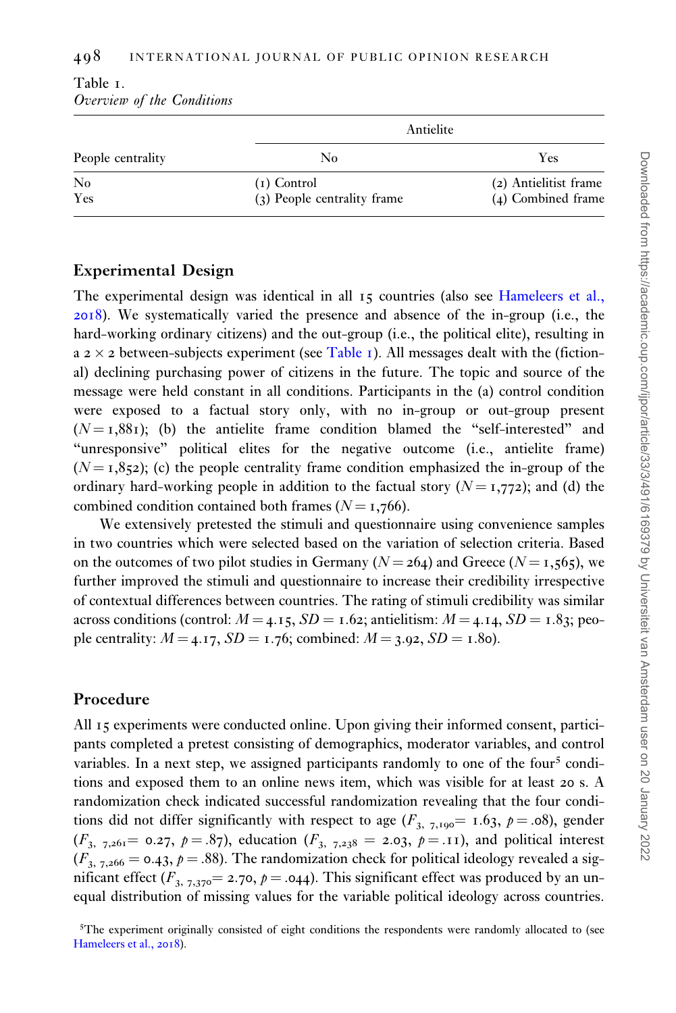|                   | Antielite                                    |                                             |
|-------------------|----------------------------------------------|---------------------------------------------|
| People centrality | No                                           | Yes                                         |
| No<br>Yes         | $(i)$ Control<br>(3) People centrality frame | (2) Antielitist frame<br>(4) Combined frame |

## <span id="page-8-0"></span>Table 1. Overview of the Conditions

# Experimental Design

The experimental design was identical in all 15 countries (also see [Hameleers et al.,](#page-19-0) [2018](#page-19-0)). We systematically varied the presence and absence of the in-group (i.e., the hard-working ordinary citizens) and the out-group (i.e., the political elite), resulting in a 2  $\times$  2 between-subjects experiment (see Table 1). All messages dealt with the (fictional) declining purchasing power of citizens in the future. The topic and source of the message were held constant in all conditions. Participants in the (a) control condition were exposed to a factual story only, with no in-group or out-group present  $(N = 1,881)$ ; (b) the antielite frame condition blamed the "self-interested" and "unresponsive" political elites for the negative outcome (i.e., antielite frame)  $(N = 1,852)$ ; (c) the people centrality frame condition emphasized the in-group of the ordinary hard-working people in addition to the factual story  $(N = 1,772)$ ; and (d) the combined condition contained both frames ( $N = 1,766$ ).

We extensively pretested the stimuli and questionnaire using convenience samples in two countries which were selected based on the variation of selection criteria. Based on the outcomes of two pilot studies in Germany ( $N = 264$ ) and Greece ( $N = 1,565$ ), we further improved the stimuli and questionnaire to increase their credibility irrespective of contextual differences between countries. The rating of stimuli credibility was similar across conditions (control:  $M = 4.15$ ,  $SD = 1.62$ ; antielitism:  $M = 4.14$ ,  $SD = 1.83$ ; people centrality:  $M = 4.17$ ,  $SD = 1.76$ ; combined:  $M = 3.92$ ,  $SD = 1.80$ .

# Procedure

All 15 experiments were conducted online. Upon giving their informed consent, participants completed a pretest consisting of demographics, moderator variables, and control variables. In a next step, we assigned participants randomly to one of the four<sup>5</sup> conditions and exposed them to an online news item, which was visible for at least 20 s. A randomization check indicated successful randomization revealing that the four conditions did not differ significantly with respect to age  $(F_{3, 7, 190} = 1.63, p = .08)$ , gender  $(F_{3, 7,261} = 0.27, p = .87)$ , education  $(F_{3, 7,238} = 2.03, p = .11)$ , and political interest  $(F_{3, 7,266} = 0.43, p = .88)$ . The randomization check for political ideology revealed a significant effect ( $F_{3, 7,370} = 2.70$ ,  $p = .044$ ). This significant effect was produced by an unequal distribution of missing values for the variable political ideology across countries.

<sup>&</sup>lt;sup>5</sup>The experiment originally consisted of eight conditions the respondents were randomly allocated to (see [Hameleers et al.,](#page-19-0) 2018).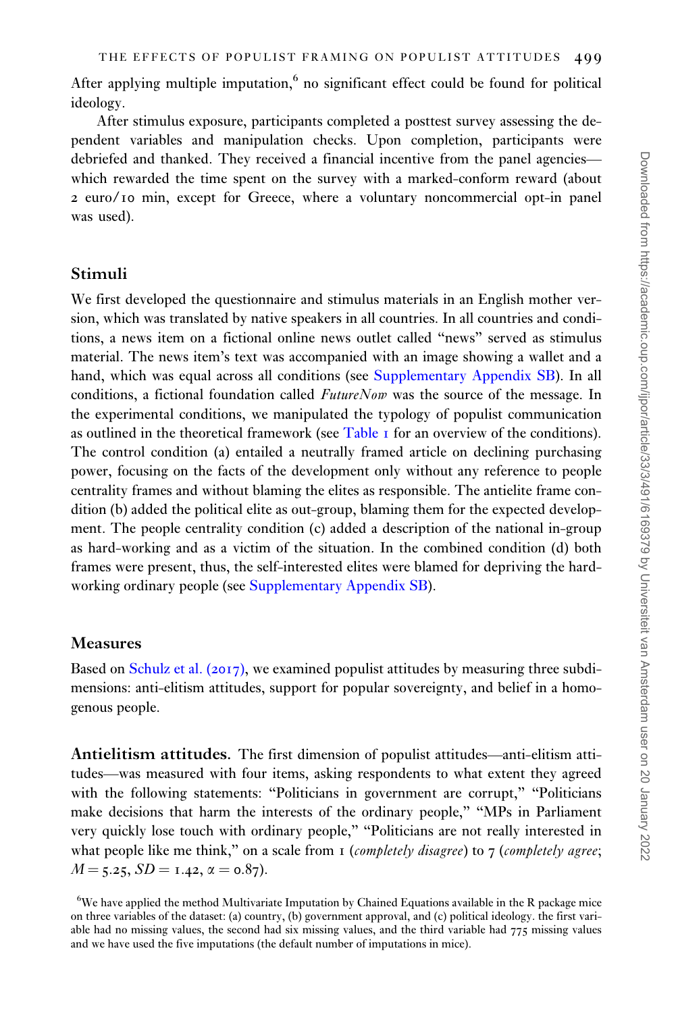After applying multiple imputation, $6$  no significant effect could be found for political ideology.

After stimulus exposure, participants completed a posttest survey assessing the dependent variables and manipulation checks. Upon completion, participants were debriefed and thanked. They received a financial incentive from the panel agencies which rewarded the time spent on the survey with a marked-conform reward (about 2 euro/10 min, except for Greece, where a voluntary noncommercial opt-in panel was used).

## Stimuli

We first developed the questionnaire and stimulus materials in an English mother version, which was translated by native speakers in all countries. In all countries and conditions, a news item on a fictional online news outlet called "news" served as stimulus material. The news item's text was accompanied with an image showing a wallet and a hand, which was equal across all conditions (see [Supplementary Appendix SB\)](https://academic.oup.com/ijpor/article-lookup/doi/10.1093/ijpor/edaa018#supplementary-data). In all conditions, a fictional foundation called *FutureNow* was the source of the message. In the experimental conditions, we manipulated the typology of populist communication as outlined in the theoretical framework (see [Table](#page-8-0) 1 for an overview of the conditions). The control condition (a) entailed a neutrally framed article on declining purchasing power, focusing on the facts of the development only without any reference to people centrality frames and without blaming the elites as responsible. The antielite frame condition (b) added the political elite as out-group, blaming them for the expected development. The people centrality condition (c) added a description of the national in-group as hard-working and as a victim of the situation. In the combined condition (d) both frames were present, thus, the self-interested elites were blamed for depriving the hardworking ordinary people (see [Supplementary Appendix SB](https://academic.oup.com/ijpor/article-lookup/doi/10.1093/ijpor/edaa018#supplementary-data)).

### Measures

Based on [Schulz et al. \(](#page-20-0)2017), we examined populist attitudes by measuring three subdimensions: anti-elitism attitudes, support for popular sovereignty, and belief in a homogenous people.

Antielitism attitudes. The first dimension of populist attitudes—anti-elitism attitudes—was measured with four items, asking respondents to what extent they agreed with the following statements: "Politicians in government are corrupt," "Politicians make decisions that harm the interests of the ordinary people," "MPs in Parliament very quickly lose touch with ordinary people," "Politicians are not really interested in what people like me think," on a scale from  $\sigma$  (*completely disagree*) to  $\tau$  (*completely agree*;  $M = 5.25$ ,  $SD = 1.42$ ,  $\alpha = 0.87$ ).

 $6$ We have applied the method Multivariate Imputation by Chained Equations available in the R package mice on three variables of the dataset: (a) country, (b) government approval, and (c) political ideology. the first variable had no missing values, the second had six missing values, and the third variable had 775 missing values and we have used the five imputations (the default number of imputations in mice).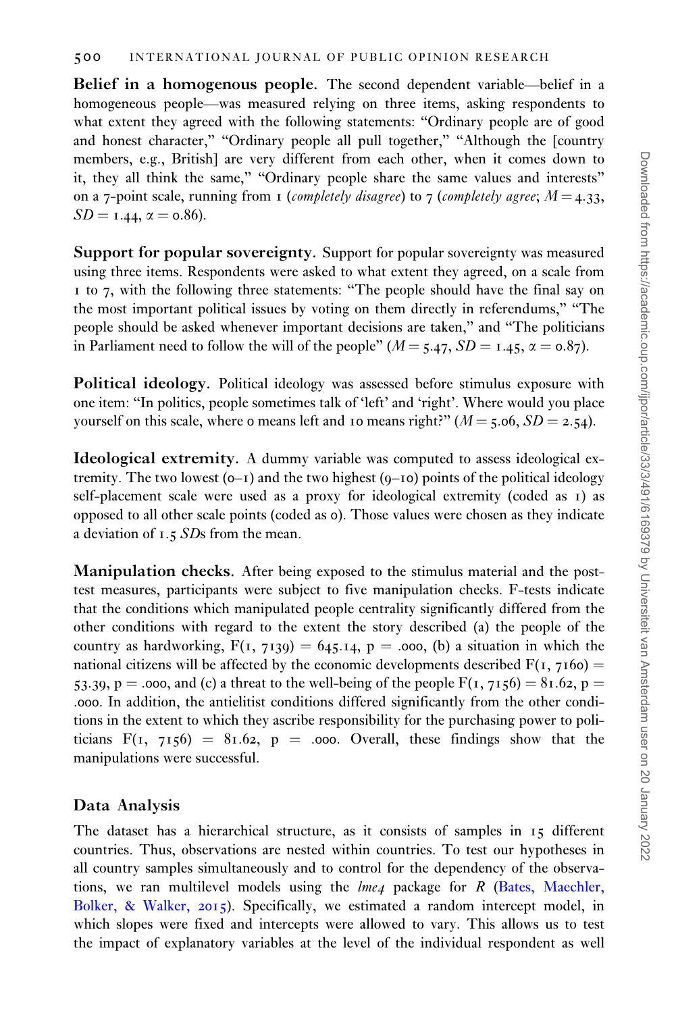Belief in a homogenous people. The second dependent variable—belief in a homogeneous people—was measured relying on three items, asking respondents to what extent they agreed with the following statements: "Ordinary people are of good and honest character," "Ordinary people all pull together," "Although the [country members, e.g., British] are very different from each other, when it comes down to it, they all think the same," "Ordinary people share the same values and interests" on a 7-point scale, running from 1 (completely disagree) to 7 (completely agree;  $M = 4.33$ ,  $SD = 1.44$ ,  $\alpha = 0.86$ ).

Support for popular sovereignty. Support for popular sovereignty was measured using three items. Respondents were asked to what extent they agreed, on a scale from 1 to 7, with the following three statements: "The people should have the final say on the most important political issues by voting on them directly in referendums," "The people should be asked whenever important decisions are taken," and "The politicians in Parliament need to follow the will of the people" ( $M = 5.47$ ,  $SD = 1.45$ ,  $\alpha = 0.87$ ).

Political ideology. Political ideology was assessed before stimulus exposure with one item: "In politics, people sometimes talk of 'left' and 'right'. Where would you place yourself on this scale, where o means left and 10 means right?"  $(M = 5.06, SD = 2.54)$ .

Ideological extremity. A dummy variable was computed to assess ideological extremity. The two lowest  $(0-1)$  and the two highest  $(0-10)$  points of the political ideology self-placement scale were used as a proxy for ideological extremity (coded as 1) as opposed to all other scale points (coded as 0). Those values were chosen as they indicate a deviation of 1.5 SDs from the mean.

Manipulation checks. After being exposed to the stimulus material and the posttest measures, participants were subject to five manipulation checks. F-tests indicate that the conditions which manipulated people centrality significantly differed from the other conditions with regard to the extent the story described (a) the people of the country as hardworking,  $F(1, 7139) = 645.14$ , p = .000, (b) a situation in which the national citizens will be affected by the economic developments described  $F(1, 7160) =$ 53.39, p = .000, and (c) a threat to the well-being of the people  $F(1, 7156) = 81.62$ , p = .000. In addition, the antielitist conditions differed significantly from the other conditions in the extent to which they ascribe responsibility for the purchasing power to politicians  $F(1, 7156) = 81.62$ , p = .000. Overall, these findings show that the manipulations were successful.

# Data Analysis

The dataset has a hierarchical structure, as it consists of samples in 15 different countries. Thus, observations are nested within countries. To test our hypotheses in all country samples simultaneously and to control for the dependency of the observations, we ran multilevel models using the  $lme4$  package for R [\(Bates, Maechler,](#page-18-0) [Bolker, & Walker,](#page-18-0) 2015). Specifically, we estimated a random intercept model, in which slopes were fixed and intercepts were allowed to vary. This allows us to test the impact of explanatory variables at the level of the individual respondent as well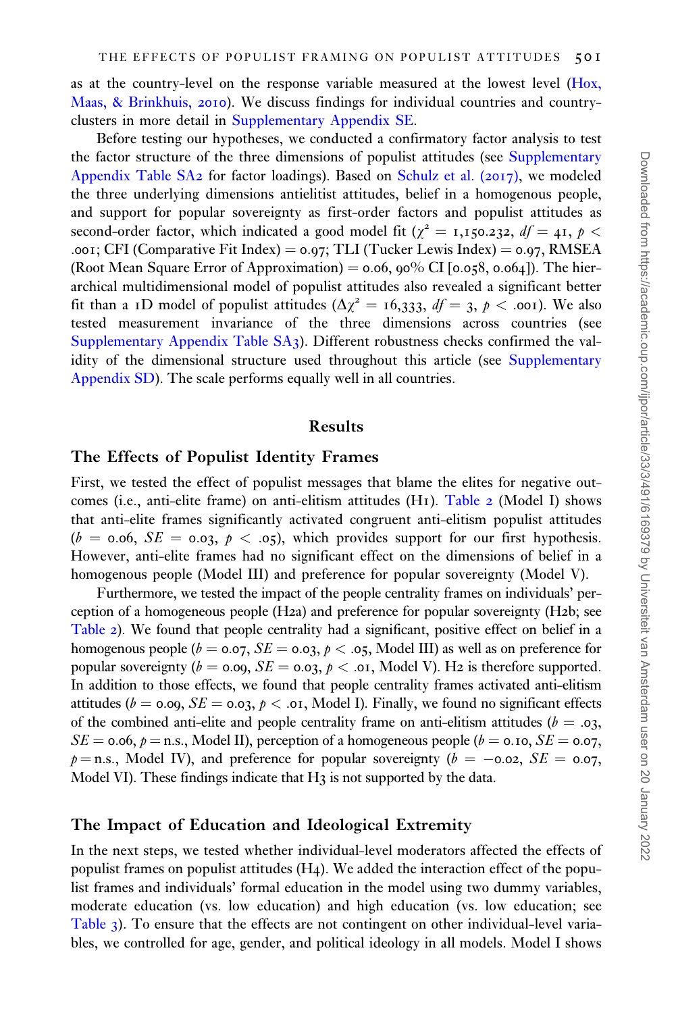as at the country-level on the response variable measured at the lowest level [\(Hox,](#page-19-0) [Maas, & Brinkhuis,](#page-19-0) 2010). We discuss findings for individual countries and countryclusters in more detail in [Supplementary Appendix SE.](https://academic.oup.com/ijpor/article-lookup/doi/10.1093/ijpor/edaa018#supplementary-data)

Before testing our hypotheses, we conducted a confirmatory factor analysis to test the factor structure of the three dimensions of populist attitudes (see [Supplementary](https://academic.oup.com/ijpor/article-lookup/doi/10.1093/ijpor/edaa018#supplementary-data) [Appendix Table SA](https://academic.oup.com/ijpor/article-lookup/doi/10.1093/ijpor/edaa018#supplementary-data)2 for factor loadings). Based on [Schulz et al. \(](#page-20-0)2017), we modeled the three underlying dimensions antielitist attitudes, belief in a homogenous people, and support for popular sovereignty as first-order factors and populist attitudes as second-order factor, which indicated a good model fit ( $\chi^2 = 1,150.232$ ,  $df = 41$ ,  $p <$ .001; CFI (Comparative Fit Index) =  $0.97$ ; TLI (Tucker Lewis Index) =  $0.97$ , RMSEA (Root Mean Square Error of Approximation)  $=$  0.06, 90% CI [0.058, 0.064]). The hierarchical multidimensional model of populist attitudes also revealed a significant better fit than a 1D model of populist attitudes ( $\Delta \chi^2 = 16,333, df = 3, \phi < .001$ ). We also tested measurement invariance of the three dimensions across countries (see [Supplementary Appendix Table SA](https://academic.oup.com/ijpor/article-lookup/doi/10.1093/ijpor/edaa018#supplementary-data)3). Different robustness checks confirmed the val-idity of the dimensional structure used throughout this article (see [Supplementary](https://academic.oup.com/ijpor/article-lookup/doi/10.1093/ijpor/edaa018#supplementary-data) [Appendix SD](https://academic.oup.com/ijpor/article-lookup/doi/10.1093/ijpor/edaa018#supplementary-data)). The scale performs equally well in all countries.

#### Results

### The Effects of Populist Identity Frames

First, we tested the effect of populist messages that blame the elites for negative out-comes (i.e., anti-elite frame) on anti-elitism attitudes (H<sub>1</sub>). [Table](#page-12-0) 2 (Model I) shows that anti-elite frames significantly activated congruent anti-elitism populist attitudes  $(b = 0.06, SE = 0.03, p < .05)$ , which provides support for our first hypothesis. However, anti-elite frames had no significant effect on the dimensions of belief in a homogenous people (Model III) and preference for popular sovereignty (Model V).

Furthermore, we tested the impact of the people centrality frames on individuals' perception of a homogeneous people (H2a) and preference for popular sovereignty (H2b; see [Table](#page-12-0) 2). We found that people centrality had a significant, positive effect on belief in a homogenous people ( $b = 0.07$ ,  $SE = 0.03$ ,  $p < .05$ , Model III) as well as on preference for popular sovereignty ( $b = 0.09$ ,  $SE = 0.03$ ,  $p < .01$ , Model V). H2 is therefore supported. In addition to those effects, we found that people centrality frames activated anti-elitism attitudes ( $b = 0.09$ ,  $SE = 0.03$ ,  $p < .01$ , Model I). Finally, we found no significant effects of the combined anti-elite and people centrality frame on anti-elitism attitudes ( $b = .03$ ,  $SE = 0.06$ ,  $p =$  n.s., Model II), perception of a homogeneous people ( $b = 0.10$ ,  $SE = 0.07$ ,  $p =$ n.s., Model IV), and preference for popular sovereignty ( $b = -0.02$ ,  $SE = 0.07$ , Model VI). These findings indicate that  $H_3$  is not supported by the data.

### The Impact of Education and Ideological Extremity

In the next steps, we tested whether individual-level moderators affected the effects of populist frames on populist attitudes (H4). We added the interaction effect of the populist frames and individuals' formal education in the model using two dummy variables, moderate education (vs. low education) and high education (vs. low education; see [Table](#page-13-0) 3). To ensure that the effects are not contingent on other individual-level variables, we controlled for age, gender, and political ideology in all models. Model I shows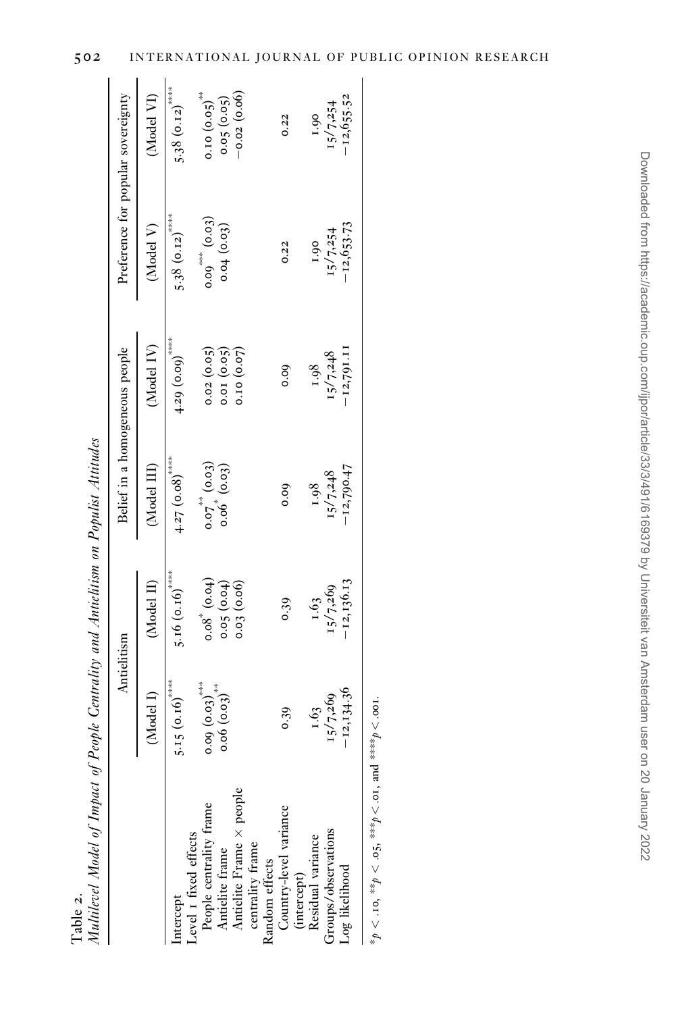|                                            |                                           | Antielitism                         |                                        | Belief in a homogeneous people | Preference for popular sovereignty  |                                          |
|--------------------------------------------|-------------------------------------------|-------------------------------------|----------------------------------------|--------------------------------|-------------------------------------|------------------------------------------|
|                                            | (Model I)                                 | (Model II)                          | (Model III)                            | (Model IV)                     | (Model V)                           | (Model VI)                               |
| Level 1 fixed effects<br>Intercept         | $5.15(0.16)$ ****                         | 5.16 $(0.16)$                       | $4.27$ $(0.08)$ <sup>****</sup>        | 4.29(0.09)                     | 5.38 $(0.12)^{***}$                 | 5.38(0.12)                               |
| People centrality frame<br>Antielite frame | $0.09(0.03)$ <sup>***</sup><br>0.06(0.03) | $0.08^{\circ}$ (0.04)<br>0.05(0.04) | $0.07^{\circ} (0.03)$<br>$0.06 (0.03)$ | 0.02(0.05)<br>0.01(0.05)       | $0.09^{***}$ $(0.03)$<br>0.04(0.03) | $0.10(0.05)$ <sup>**</sup><br>0.05(0.05) |
| Antielite Frame × people                   |                                           | 0.03(0.06)                          |                                        | 0.10 (0.07)                    |                                     | $-0.02(0.06)$                            |
| centrality frame<br>Random effects         |                                           |                                     |                                        |                                |                                     |                                          |
| Country-level variance<br>(intercept)      | 0.39                                      | 0.39                                | 0.00                                   | 0.00                           | 0.22                                | 0.22                                     |
| Residual variance                          | 1.63                                      | 1.63                                | 1.98                                   | 1.98                           | 1.90                                | 1.90                                     |
| Groups/observations                        | 15/7,269                                  | 15/7,269                            | 15/7,248                               | 15/7,248                       | 15/7,254                            | 15/7,254                                 |
| Log likelihood                             | $-12,134.30$                              | $-12,136.13$                        | $-12,790.47$                           | -12,791.11                     | $-12,653.73$                        | $-12,655.52$                             |

Table 2.

<span id="page-12-0"></span>502 INTERNATIONAL JOURNAL OF PUBLIC OPINION RESEARCH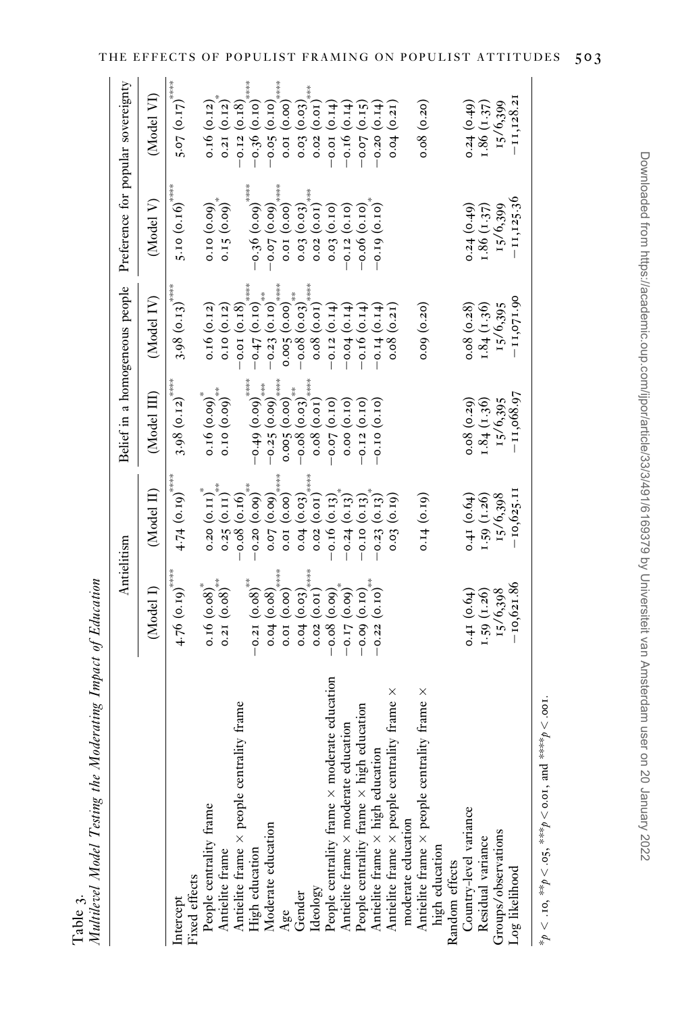<span id="page-13-0"></span>

|                                                                                            |                                                               | Antielitism        |                                                                                                       |                                                                                                                       | Belief in a homogeneous people Preference for popular sovereignty                                            |                               |
|--------------------------------------------------------------------------------------------|---------------------------------------------------------------|--------------------|-------------------------------------------------------------------------------------------------------|-----------------------------------------------------------------------------------------------------------------------|--------------------------------------------------------------------------------------------------------------|-------------------------------|
|                                                                                            | (Model I)                                                     | (Model II)         | (Model III)                                                                                           | (Model IV)                                                                                                            | (Model V)                                                                                                    | (Model VI)                    |
| Intercept                                                                                  | $4.76$ (0.19) <sup>****</sup>                                 | $4.74~(0.19)$ **** | $3.98$ (0.12) <sup>****</sup>                                                                         | $3.98(0.13)$ ****                                                                                                     | 5.10 $(0.16)$ <sup>****</sup>                                                                                | $5.07 (0.17)$ <sup>****</sup> |
| Fixed effects                                                                              |                                                               |                    |                                                                                                       |                                                                                                                       |                                                                                                              |                               |
| People centrality frame<br>Antielite frame                                                 | $0.16$ $(0.08)^*$                                             | $0.20 (0.11)^*$    | 0.16(0.09)                                                                                            | 0.16(0.12)                                                                                                            | 0.10(0.09)                                                                                                   | 0.16(0.12)                    |
|                                                                                            | $0.21\ (0.08)^{***}$                                          | $0.25(0.11)^{***}$ | 0.10(0.09)                                                                                            | 0.10(0.12)                                                                                                            | $0.15 (0.09)^*$                                                                                              | 0.21(0.12)                    |
| rality frame<br>Antielite frame × people centr                                             |                                                               | $-0.08$ (0.16)     |                                                                                                       | $-0.01(0.18)$                                                                                                         |                                                                                                              | $-0.12(0.18)$                 |
| High education<br>Moderate education                                                       | $-0.21 (0.08)$ **                                             | $-0.20(0.09)$ **   | $\left(-0.49\right)\left(0.09\right)^{****}$                                                          | $(0.10)$ (+0.0)                                                                                                       | $-0.36(0.09)$ *****                                                                                          | $-0.36(0.10)$ ****            |
|                                                                                            | 0.04(0.08)                                                    | 0.07(0.09)         | $-0.25(0.09)$ ***                                                                                     | $-0.23(0.10)$                                                                                                         | $(60.0)$ (0.09)                                                                                              | $-0.05(0.10)$                 |
| Age                                                                                        | $0.01(0.00)$ ****                                             | $0.01(0.00)$ ****  | 0.005(0.00)                                                                                           | ****<br>0.005(0.00)                                                                                                   | 0.01(0.00)                                                                                                   | 0.01(0.00)                    |
| Gender                                                                                     |                                                               | 0.04(0.03)         |                                                                                                       | $\begin{bmatrix} 0.08 & 0.03 \\ -0.08 & 0.03 \end{bmatrix}^{\pi\pi}_{\scriptscriptstyle{3\atop 3\leq n\leq m\leq n}}$ |                                                                                                              | 0.03(0.03)                    |
| Ideology                                                                                   | $0.04\ (0.03)$<br>$0.02\ (0.01)$                              | 0.02(0.01)         | $\begin{array}{c} -0.08\ (0.03)\phantom{00}^{***} \ \hline 0.08\ (0.01)\phantom{0}^{***} \end{array}$ | 0.08(0.01)                                                                                                            | $\begin{array}{c} 0.03\ (0.03)_{\textrm{\tiny{3+3+8}}} \ \ 0.02\ (0.01)_{\textrm{\tiny{3+3+8}}} \end{array}$ | 0.02(0.01)                    |
| lerate education<br>People centrality frame $\times$ mod                                   |                                                               | $-0.16$ (0.13)     | $(0.10)$ $\sqrt{0.0}$                                                                                 | $-0.12(0.14)$                                                                                                         | 0.03(0.10)                                                                                                   | $-0.01(0.14)$                 |
| Antielite frame × moderate education                                                       | $\begin{array}{c} -0.08\ (0.09) \\ -0.17\ (0.09) \end{array}$ | $-0.24(0.13)$      | 0.00(0.10)                                                                                            | $-0.04$ (0.14)                                                                                                        | $-0.12(0.10)$                                                                                                | $-0.16$ (0.14)                |
|                                                                                            | $-0.09$ (0.10)                                                | $-0.10(0.13)$      | $-0.12(0.10)$                                                                                         | $-0.16(0.14)$                                                                                                         | $-0.06$ $(0.10)$                                                                                             | $-0.07(0.15)$                 |
| People centrality frame $\times$ high education<br>Antielite frame $\times$ high education | $-0.22~(0.10)^{***}$                                          | $-0.23(0.13)$      | $-0.10(0.10)$                                                                                         | $-0.14(0.14)$                                                                                                         | $-0.19(0.10)$                                                                                                | $-0.20(0.14)$                 |
| Antielite frame $\times$ people centrality frame $\times$                                  |                                                               | 0.03(0.19)         |                                                                                                       | 0.08(0.21)                                                                                                            |                                                                                                              | 0.04(0.21)                    |
|                                                                                            |                                                               |                    |                                                                                                       |                                                                                                                       |                                                                                                              |                               |
| rality frame $\times$<br>moderate education $\Delta$ people centros                        |                                                               | 0.14(0.19)         |                                                                                                       | 0.09(0.20)                                                                                                            |                                                                                                              | 0.08(0.20)                    |
| high education                                                                             |                                                               |                    |                                                                                                       |                                                                                                                       |                                                                                                              |                               |
| Random effects                                                                             |                                                               |                    |                                                                                                       |                                                                                                                       |                                                                                                              |                               |
| Country-level variance                                                                     | 0.41(0.64)                                                    | 0.41(0.64)         | 0.08(0.20)                                                                                            | 0.08(0.28)                                                                                                            | 0.24(0.49)                                                                                                   | $0.24$ $(0.49)$               |
| Residual variance                                                                          | 1.59(1.26)                                                    | 1.59(1.26)         | 1.84(1.36)                                                                                            | 1.84(1.36)                                                                                                            | 1.86(1.37)                                                                                                   | 1.86(1.37)                    |
| Groups/observations                                                                        | 15/6,398                                                      | 15/6,398           | 15/6,395                                                                                              | 15/6,395                                                                                                              | 15/6,399                                                                                                     | 15/6,399                      |
| Log likelihood                                                                             | $-10,621.86$                                                  | $-10,625.11$       | $-11,068.97$                                                                                          | $-11,071.90$                                                                                                          | $-11, 125.36$                                                                                                | $-11,128.21$                  |
|                                                                                            |                                                               |                    |                                                                                                       |                                                                                                                       |                                                                                                              |                               |

Table 3.<br>Multilevel Model Testing the Moderating Impact of Education Multilevel Model Testing the Moderating Impact of Education

\* $p < 10$ , \*\*\* $p < 0.5$ , \*\*\*\* $p < 0.01$ , and \*\*\*\*\* $p < 0.01$ .  $*\gamma_p < 0.10$ ,  $**p < 0.05$ ,  $**p < 0.01$ , and  $**p < 0.01$ .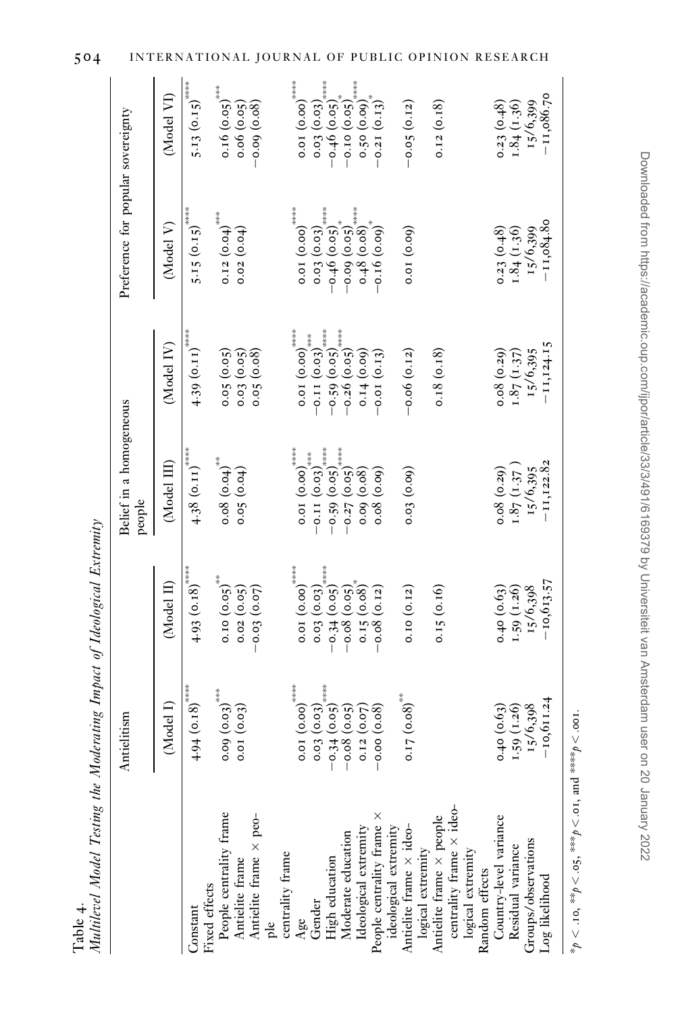<span id="page-14-0"></span>

| $-0.59(0.05)$<br>$0.01(0.00)$ ****<br>$-0.26$ $(0.05)$<br>$4.39~(0.11)$ <sup>****</sup><br>$-0.11(0.03)$ ***<br>(Model IV)<br>$0.08(0.29)$<br>1.87 (1.37)<br>15/6,395<br>0.05(0.05)<br>0.03(0.05)<br>0.18(0.18)<br>0.05(0.08)<br>0.14(0.09)<br>$-0.06(0.12)$<br>$-0.01(0.13)$<br>Belief in a homogeneous<br>$0.01(0.00)$ ****<br>$\begin{array}{c} -0.11\left(0.03\right)_{\ast\ast\ast\ast}^{\ast\ast\ast\ast} \ -0.59\left(0.05\right)_{\ast\ast\ast\ast\ast}^{\ast\ast\ast\ast\ast} \ -0.32\left(0.05\right)_{\ast\ast\ast\ast\ast}^{\ast\ast\ast\ast} \end{array}$<br>$4.38~(0.11)$ <sup>*****</sup><br>0.08(0.04)<br>(Model III)<br>$0.08(0.29)$<br>1.87 (1.37)<br>0.05(0.04)<br>0.08(0.09)<br>0.03(0.09)<br>15/6,395<br>0.09(0.08)<br>people<br>$-0.34$ (0.05)<br>$0.01(0.00)$ ****<br>$4.93$ (0.18) <sup>****</sup><br>$0.10(0.05)$ **<br>0.15(0.08)<br>(Model II)<br>0.40(0.63)<br>0.02(0.05)<br>0.03(0.03)<br>0.15(0.16)<br>1.59(1.26)<br>15/6,398<br>$-0.08$ (0.05)<br>0.10(0.12)<br>$-0.03(0.07)$<br>$-0.08$ (0.12)<br>*****<br>$0.01(0.00)$ ****<br>$4.94~(0.18)$ <sup>*****</sup><br>$0.09(0.03)$ ***<br>$0.17(0.08)$ <sup>**</sup><br>$-0.34$ (0.05)<br>(Model I)<br>0.40(0.63)<br>1.59(1.26)<br>15/6,398<br>0.03(0.03)<br>$-0.08$ (0.05)<br>0.01(0.03)<br>0.12(0.07)<br>$-0.00(0.08)$<br>$\begin{array}{l} \mbox{centrality frame}\times \mbox{ide} \mbox{-} \\ \mbox{logical extremity} \end{array}$<br>People centrality frame<br>People centrality frame $\times$<br>$\begin{array}{l} \mbox{Antielite frame} \\ \mbox{Antielite frame} \times \mbox{peo-} \end{array}$<br>Antielite frame × people<br>Country-level variance<br>Residual variance<br>Ideological extremity<br>Moderate education<br>Groups/observations<br>Pre<br>centrality frame<br>High education<br>Random effects<br>Fixed effects<br>Gender<br>Constant<br>Age<br>ple | Multilevel Model Testing the Moderating Impact of Ideological Extremity |              |              |               |              |                                                                                   |                                                                                                                                                                                                                       |
|----------------------------------------------------------------------------------------------------------------------------------------------------------------------------------------------------------------------------------------------------------------------------------------------------------------------------------------------------------------------------------------------------------------------------------------------------------------------------------------------------------------------------------------------------------------------------------------------------------------------------------------------------------------------------------------------------------------------------------------------------------------------------------------------------------------------------------------------------------------------------------------------------------------------------------------------------------------------------------------------------------------------------------------------------------------------------------------------------------------------------------------------------------------------------------------------------------------------------------------------------------------------------------------------------------------------------------------------------------------------------------------------------------------------------------------------------------------------------------------------------------------------------------------------------------------------------------------------------------------------------------------------------------------------------------------------------------------------------------------------------------------------------------------------------------------------------------------------------------------|-------------------------------------------------------------------------|--------------|--------------|---------------|--------------|-----------------------------------------------------------------------------------|-----------------------------------------------------------------------------------------------------------------------------------------------------------------------------------------------------------------------|
| ideological extremity<br>Antielite frame $\times$ ideological extremity                                                                                                                                                                                                                                                                                                                                                                                                                                                                                                                                                                                                                                                                                                                                                                                                                                                                                                                                                                                                                                                                                                                                                                                                                                                                                                                                                                                                                                                                                                                                                                                                                                                                                                                                                                                        |                                                                         | Antielitism  |              |               |              | Preference for popular sovereignty                                                |                                                                                                                                                                                                                       |
|                                                                                                                                                                                                                                                                                                                                                                                                                                                                                                                                                                                                                                                                                                                                                                                                                                                                                                                                                                                                                                                                                                                                                                                                                                                                                                                                                                                                                                                                                                                                                                                                                                                                                                                                                                                                                                                                |                                                                         |              |              |               |              | (Model V)                                                                         | (Model VI)                                                                                                                                                                                                            |
|                                                                                                                                                                                                                                                                                                                                                                                                                                                                                                                                                                                                                                                                                                                                                                                                                                                                                                                                                                                                                                                                                                                                                                                                                                                                                                                                                                                                                                                                                                                                                                                                                                                                                                                                                                                                                                                                |                                                                         |              |              |               |              | $5.15 (0.15)^{***}$                                                               | $5.13 (0.15)$ ****                                                                                                                                                                                                    |
|                                                                                                                                                                                                                                                                                                                                                                                                                                                                                                                                                                                                                                                                                                                                                                                                                                                                                                                                                                                                                                                                                                                                                                                                                                                                                                                                                                                                                                                                                                                                                                                                                                                                                                                                                                                                                                                                |                                                                         |              |              |               |              | $0.12(0.04)^{***}$<br>0.02(0.04)                                                  | $0.16(0.05)$ ***<br>$0.06$ $(0.05)$                                                                                                                                                                                   |
|                                                                                                                                                                                                                                                                                                                                                                                                                                                                                                                                                                                                                                                                                                                                                                                                                                                                                                                                                                                                                                                                                                                                                                                                                                                                                                                                                                                                                                                                                                                                                                                                                                                                                                                                                                                                                                                                |                                                                         |              |              |               |              |                                                                                   | $-0.09$ (0.08)                                                                                                                                                                                                        |
|                                                                                                                                                                                                                                                                                                                                                                                                                                                                                                                                                                                                                                                                                                                                                                                                                                                                                                                                                                                                                                                                                                                                                                                                                                                                                                                                                                                                                                                                                                                                                                                                                                                                                                                                                                                                                                                                |                                                                         |              |              |               |              |                                                                                   |                                                                                                                                                                                                                       |
|                                                                                                                                                                                                                                                                                                                                                                                                                                                                                                                                                                                                                                                                                                                                                                                                                                                                                                                                                                                                                                                                                                                                                                                                                                                                                                                                                                                                                                                                                                                                                                                                                                                                                                                                                                                                                                                                |                                                                         |              |              |               |              | $0.01(0.00)$ ****                                                                 | $0.01(0.00)$ ****                                                                                                                                                                                                     |
|                                                                                                                                                                                                                                                                                                                                                                                                                                                                                                                                                                                                                                                                                                                                                                                                                                                                                                                                                                                                                                                                                                                                                                                                                                                                                                                                                                                                                                                                                                                                                                                                                                                                                                                                                                                                                                                                |                                                                         |              |              |               |              | *****<br>0.03(0.03)                                                               | *****<br>0.03(0.03)                                                                                                                                                                                                   |
|                                                                                                                                                                                                                                                                                                                                                                                                                                                                                                                                                                                                                                                                                                                                                                                                                                                                                                                                                                                                                                                                                                                                                                                                                                                                                                                                                                                                                                                                                                                                                                                                                                                                                                                                                                                                                                                                |                                                                         |              |              |               |              | $-0.46$ (0.05)                                                                    | $-0.46$ (0.05)                                                                                                                                                                                                        |
|                                                                                                                                                                                                                                                                                                                                                                                                                                                                                                                                                                                                                                                                                                                                                                                                                                                                                                                                                                                                                                                                                                                                                                                                                                                                                                                                                                                                                                                                                                                                                                                                                                                                                                                                                                                                                                                                |                                                                         |              |              |               |              | $\begin{array}{c} -0.09\ (0.05)^{*}_{****} \ 0.48\ (0.08)^{*_{****}} \end{array}$ | $\begin{array}{c} -0.10\; \left( 0.05\right) ^{*}_{\scriptscriptstyle{3\atop 2\,+\!\!3\,+\!\!3\,+\!\!2\,+\!\!2}} \ 0.50\; \left( 0.00\right) ^{*}_{\scriptscriptstyle{3\atop 2\,+\!\!3\,+\!\!3\,+\!\!2}} \end{array}$ |
|                                                                                                                                                                                                                                                                                                                                                                                                                                                                                                                                                                                                                                                                                                                                                                                                                                                                                                                                                                                                                                                                                                                                                                                                                                                                                                                                                                                                                                                                                                                                                                                                                                                                                                                                                                                                                                                                |                                                                         |              |              |               |              |                                                                                   |                                                                                                                                                                                                                       |
|                                                                                                                                                                                                                                                                                                                                                                                                                                                                                                                                                                                                                                                                                                                                                                                                                                                                                                                                                                                                                                                                                                                                                                                                                                                                                                                                                                                                                                                                                                                                                                                                                                                                                                                                                                                                                                                                |                                                                         |              |              |               |              | $-0.16(0.00)$                                                                     | $-0.21\ (0.13)^*$                                                                                                                                                                                                     |
|                                                                                                                                                                                                                                                                                                                                                                                                                                                                                                                                                                                                                                                                                                                                                                                                                                                                                                                                                                                                                                                                                                                                                                                                                                                                                                                                                                                                                                                                                                                                                                                                                                                                                                                                                                                                                                                                |                                                                         |              |              |               |              |                                                                                   |                                                                                                                                                                                                                       |
|                                                                                                                                                                                                                                                                                                                                                                                                                                                                                                                                                                                                                                                                                                                                                                                                                                                                                                                                                                                                                                                                                                                                                                                                                                                                                                                                                                                                                                                                                                                                                                                                                                                                                                                                                                                                                                                                |                                                                         |              |              |               |              | 0.01(0.09)                                                                        | $-0.05(0.12)$                                                                                                                                                                                                         |
|                                                                                                                                                                                                                                                                                                                                                                                                                                                                                                                                                                                                                                                                                                                                                                                                                                                                                                                                                                                                                                                                                                                                                                                                                                                                                                                                                                                                                                                                                                                                                                                                                                                                                                                                                                                                                                                                |                                                                         |              |              |               |              |                                                                                   | 0.12(0.18)                                                                                                                                                                                                            |
|                                                                                                                                                                                                                                                                                                                                                                                                                                                                                                                                                                                                                                                                                                                                                                                                                                                                                                                                                                                                                                                                                                                                                                                                                                                                                                                                                                                                                                                                                                                                                                                                                                                                                                                                                                                                                                                                |                                                                         |              |              |               |              |                                                                                   |                                                                                                                                                                                                                       |
|                                                                                                                                                                                                                                                                                                                                                                                                                                                                                                                                                                                                                                                                                                                                                                                                                                                                                                                                                                                                                                                                                                                                                                                                                                                                                                                                                                                                                                                                                                                                                                                                                                                                                                                                                                                                                                                                |                                                                         |              |              |               |              |                                                                                   |                                                                                                                                                                                                                       |
|                                                                                                                                                                                                                                                                                                                                                                                                                                                                                                                                                                                                                                                                                                                                                                                                                                                                                                                                                                                                                                                                                                                                                                                                                                                                                                                                                                                                                                                                                                                                                                                                                                                                                                                                                                                                                                                                |                                                                         |              |              |               |              | 0.23(0.48)                                                                        | 0.23(0.48)                                                                                                                                                                                                            |
|                                                                                                                                                                                                                                                                                                                                                                                                                                                                                                                                                                                                                                                                                                                                                                                                                                                                                                                                                                                                                                                                                                                                                                                                                                                                                                                                                                                                                                                                                                                                                                                                                                                                                                                                                                                                                                                                |                                                                         |              |              |               |              | 1.84(1.36)                                                                        | 1.84(1.36)                                                                                                                                                                                                            |
|                                                                                                                                                                                                                                                                                                                                                                                                                                                                                                                                                                                                                                                                                                                                                                                                                                                                                                                                                                                                                                                                                                                                                                                                                                                                                                                                                                                                                                                                                                                                                                                                                                                                                                                                                                                                                                                                |                                                                         |              |              |               |              | 15/6,399                                                                          | 15/6,399                                                                                                                                                                                                              |
|                                                                                                                                                                                                                                                                                                                                                                                                                                                                                                                                                                                                                                                                                                                                                                                                                                                                                                                                                                                                                                                                                                                                                                                                                                                                                                                                                                                                                                                                                                                                                                                                                                                                                                                                                                                                                                                                | Log likelihood                                                          | $-10,611.24$ | $-10,613.57$ | $-11, 122.82$ | $-11,124.15$ | $-11,084.80$                                                                      | $-11,086.70$                                                                                                                                                                                                          |

\* $p \lt 0.10$ , \*\* $p \lt 0.05$ , \*\*\* $p \lt 0.01$ , and \*\*\*\* $p \lt 0.001$ .  $*\gamma_p <$  .10,  $**p <$  .05,  $**p <$  .01, and  $***p <$  .001.

Downloaded from https://academic.oup.com/ijpor/article/33/3/491/6169379 by Universiteit van Amsterdam user on 20 January 2022 Downloaded from https://academic.oup.com/ijpor/article/33/3/491/6169379 by Universiteit van Amsterdam user on 20 January 2022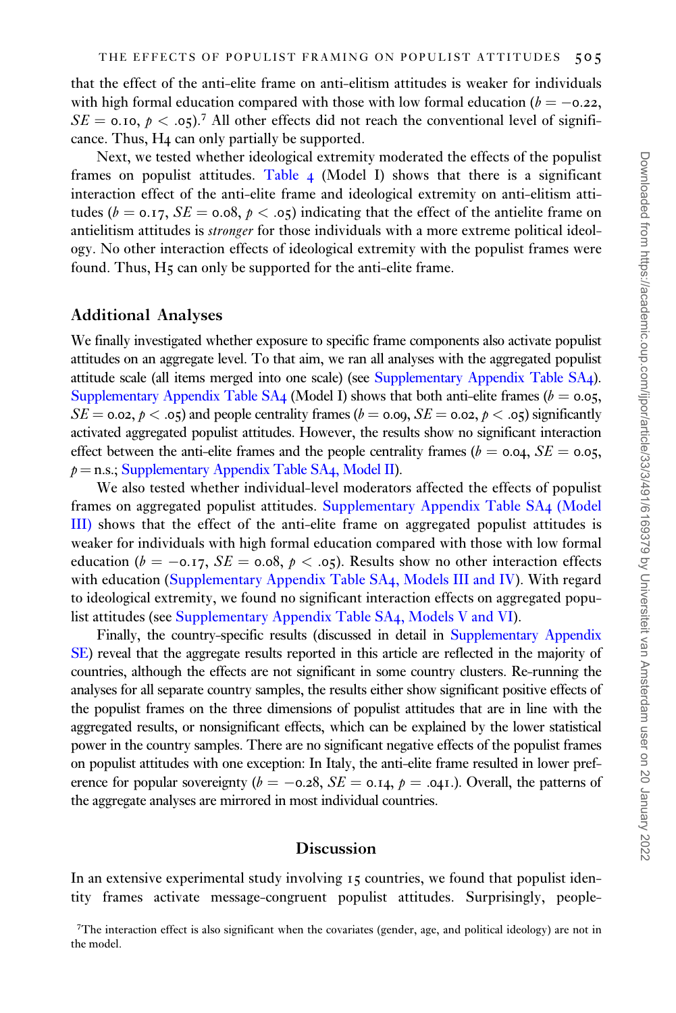that the effect of the anti-elite frame on anti-elitism attitudes is weaker for individuals with high formal education compared with those with low formal education ( $b = -0.22$ ,  $SE = 0.10$ ,  $p < .05$ ).<sup>7</sup> All other effects did not reach the conventional level of significance. Thus, H4 can only partially be supported.

Next, we tested whether ideological extremity moderated the effects of the populist frames on populist attitudes. [Table](#page-14-0) 4 (Model I) shows that there is a significant interaction effect of the anti-elite frame and ideological extremity on anti-elitism attitudes ( $b = 0.17$ ,  $SE = 0.08$ ,  $p < .05$ ) indicating that the effect of the antielite frame on antielitism attitudes is *stronger* for those individuals with a more extreme political ideology. No other interaction effects of ideological extremity with the populist frames were found. Thus, H<sub>5</sub> can only be supported for the anti-elite frame.

### Additional Analyses

We finally investigated whether exposure to specific frame components also activate populist attitudes on an aggregate level. To that aim, we ran all analyses with the aggregated populist attitude scale (all items merged into one scale) (see [Supplementary Appendix Table SA](https://academic.oup.com/ijpor/article-lookup/doi/10.1093/ijpor/edaa018#supplementary-data)4). [Supplementary Appendix Table SA](https://academic.oup.com/ijpor/article-lookup/doi/10.1093/ijpor/edaa018#supplementary-data)4 (Model I) shows that both anti-elite frames ( $b = 0.05$ ,  $SE = 0.02, p < .05$  and people centrality frames ( $b = 0.00, SE = 0.02, p < .05$ ) significantly activated aggregated populist attitudes. However, the results show no significant interaction effect between the anti-elite frames and the people centrality frames ( $b = 0.04$ ,  $SE = 0.05$ ,  $p =$ n.s.; [Supplementary Appendix Table SA](https://academic.oup.com/ijpor/article-lookup/doi/10.1093/ijpor/edaa018#supplementary-data)4, Model II).

We also tested whether individual-level moderators affected the effects of populist frames on aggregated populist attitudes. [Supplementary Appendix Table SA](https://academic.oup.com/ijpor/article-lookup/doi/10.1093/ijpor/edaa018#supplementary-data)4 (Model [III\)](https://academic.oup.com/ijpor/article-lookup/doi/10.1093/ijpor/edaa018#supplementary-data) shows that the effect of the anti-elite frame on aggregated populist attitudes is weaker for individuals with high formal education compared with those with low formal education ( $b = -0.17$ ,  $SE = 0.08$ ,  $p < .05$ ). Results show no other interaction effects with education ([Supplementary Appendix Table SA](https://academic.oup.com/ijpor/article-lookup/doi/10.1093/ijpor/edaa018#supplementary-data)4, Models III and IV). With regard to ideological extremity, we found no significant interaction effects on aggregated populist attitudes (see [Supplementary Appendix Table SA](https://academic.oup.com/ijpor/article-lookup/doi/10.1093/ijpor/edaa018#supplementary-data)4, Models V and VI).

Finally, the country-specific results (discussed in detail in [Supplementary Appendix](https://academic.oup.com/ijpor/article-lookup/doi/10.1093/ijpor/edaa018#supplementary-data) [SE\)](https://academic.oup.com/ijpor/article-lookup/doi/10.1093/ijpor/edaa018#supplementary-data) reveal that the aggregate results reported in this article are reflected in the majority of countries, although the effects are not significant in some country clusters. Re-running the analyses for all separate country samples, the results either show significant positive effects of the populist frames on the three dimensions of populist attitudes that are in line with the aggregated results, or nonsignificant effects, which can be explained by the lower statistical power in the country samples. There are no significant negative effects of the populist frames on populist attitudes with one exception: In Italy, the anti-elite frame resulted in lower preference for popular sovereignty ( $b = -0.28$ ,  $SE = 0.14$ ,  $p = .041$ .). Overall, the patterns of the aggregate analyses are mirrored in most individual countries.

#### Discussion

In an extensive experimental study involving 15 countries, we found that populist identity frames activate message-congruent populist attitudes. Surprisingly, people-

<sup>&</sup>lt;sup>7</sup>The interaction effect is also significant when the covariates (gender, age, and political ideology) are not in the model.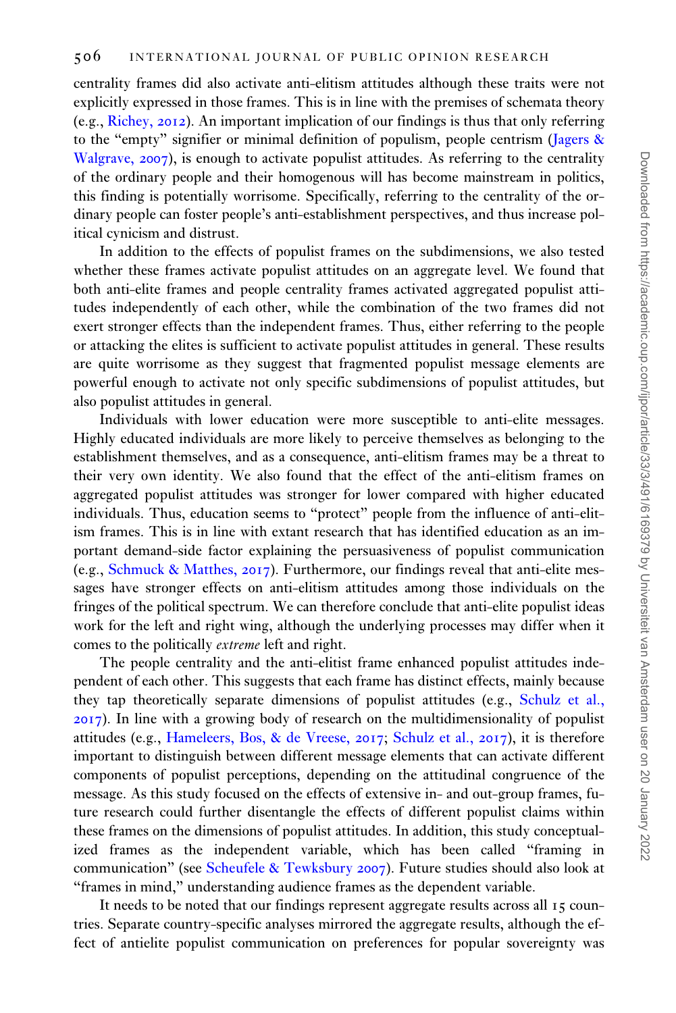centrality frames did also activate anti-elitism attitudes although these traits were not explicitly expressed in those frames. This is in line with the premises of schemata theory (e.g., [Richey,](#page-20-0) 2012). An important implication of our findings is thus that only referring to the "empty" signifier or minimal definition of populism, people centrism ([Jagers](#page-19-0) & [Walgrave,](#page-19-0) 2007), is enough to activate populist attitudes. As referring to the centrality of the ordinary people and their homogenous will has become mainstream in politics, this finding is potentially worrisome. Specifically, referring to the centrality of the ordinary people can foster people's anti-establishment perspectives, and thus increase political cynicism and distrust.

In addition to the effects of populist frames on the subdimensions, we also tested whether these frames activate populist attitudes on an aggregate level. We found that both anti-elite frames and people centrality frames activated aggregated populist attitudes independently of each other, while the combination of the two frames did not exert stronger effects than the independent frames. Thus, either referring to the people or attacking the elites is sufficient to activate populist attitudes in general. These results are quite worrisome as they suggest that fragmented populist message elements are powerful enough to activate not only specific subdimensions of populist attitudes, but also populist attitudes in general.

Individuals with lower education were more susceptible to anti-elite messages. Highly educated individuals are more likely to perceive themselves as belonging to the establishment themselves, and as a consequence, anti-elitism frames may be a threat to their very own identity. We also found that the effect of the anti-elitism frames on aggregated populist attitudes was stronger for lower compared with higher educated individuals. Thus, education seems to "protect" people from the influence of anti-elitism frames. This is in line with extant research that has identified education as an important demand-side factor explaining the persuasiveness of populist communication (e.g., [Schmuck & Matthes,](#page-20-0) 2017). Furthermore, our findings reveal that anti-elite messages have stronger effects on anti-elitism attitudes among those individuals on the fringes of the political spectrum. We can therefore conclude that anti-elite populist ideas work for the left and right wing, although the underlying processes may differ when it comes to the politically extreme left and right.

The people centrality and the anti-elitist frame enhanced populist attitudes independent of each other. This suggests that each frame has distinct effects, mainly because they tap theoretically separate dimensions of populist attitudes (e.g., [Schulz et al.,](#page-20-0) [2017](#page-20-0)). In line with a growing body of research on the multidimensionality of populist attitudes (e.g., [Hameleers, Bos,](#page-19-0) [& de Vreese,](#page-19-0) 2017; [Schulz et al.,](#page-20-0) 2017), it is therefore important to distinguish between different message elements that can activate different components of populist perceptions, depending on the attitudinal congruence of the message. As this study focused on the effects of extensive in- and out-group frames, future research could further disentangle the effects of different populist claims within these frames on the dimensions of populist attitudes. In addition, this study conceptualized frames as the independent variable, which has been called "framing in communication" (see [Scheufele](#page-20-0) [& Tewksbury](#page-20-0) 2007). Future studies should also look at "frames in mind," understanding audience frames as the dependent variable.

It needs to be noted that our findings represent aggregate results across all 15 countries. Separate country-specific analyses mirrored the aggregate results, although the effect of antielite populist communication on preferences for popular sovereignty was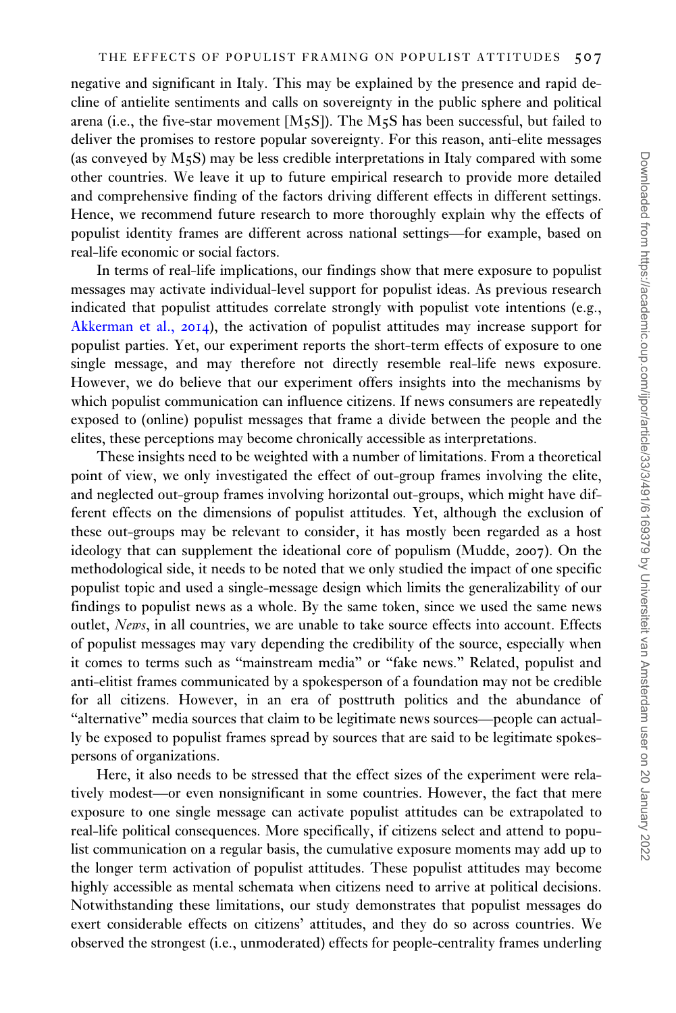negative and significant in Italy. This may be explained by the presence and rapid decline of antielite sentiments and calls on sovereignty in the public sphere and political arena (i.e., the five-star movement [M5S]). The M5S has been successful, but failed to deliver the promises to restore popular sovereignty. For this reason, anti-elite messages (as conveyed by M5S) may be less credible interpretations in Italy compared with some other countries. We leave it up to future empirical research to provide more detailed and comprehensive finding of the factors driving different effects in different settings. Hence, we recommend future research to more thoroughly explain why the effects of populist identity frames are different across national settings—for example, based on real-life economic or social factors.

In terms of real-life implications, our findings show that mere exposure to populist messages may activate individual-level support for populist ideas. As previous research indicated that populist attitudes correlate strongly with populist vote intentions (e.g., [Akkerman et al.,](#page-18-0) 2014), the activation of populist attitudes may increase support for populist parties. Yet, our experiment reports the short-term effects of exposure to one single message, and may therefore not directly resemble real-life news exposure. However, we do believe that our experiment offers insights into the mechanisms by which populist communication can influence citizens. If news consumers are repeatedly exposed to (online) populist messages that frame a divide between the people and the elites, these perceptions may become chronically accessible as interpretations.

These insights need to be weighted with a number of limitations. From a theoretical point of view, we only investigated the effect of out-group frames involving the elite, and neglected out-group frames involving horizontal out-groups, which might have different effects on the dimensions of populist attitudes. Yet, although the exclusion of these out-groups may be relevant to consider, it has mostly been regarded as a host ideology that can supplement the ideational core of populism (Mudde, 2007). On the methodological side, it needs to be noted that we only studied the impact of one specific populist topic and used a single-message design which limits the generalizability of our findings to populist news as a whole. By the same token, since we used the same news outlet, News, in all countries, we are unable to take source effects into account. Effects of populist messages may vary depending the credibility of the source, especially when it comes to terms such as "mainstream media" or "fake news." Related, populist and anti-elitist frames communicated by a spokesperson of a foundation may not be credible for all citizens. However, in an era of posttruth politics and the abundance of "alternative" media sources that claim to be legitimate news sources—people can actually be exposed to populist frames spread by sources that are said to be legitimate spokespersons of organizations.

Here, it also needs to be stressed that the effect sizes of the experiment were relatively modest—or even nonsignificant in some countries. However, the fact that mere exposure to one single message can activate populist attitudes can be extrapolated to real-life political consequences. More specifically, if citizens select and attend to populist communication on a regular basis, the cumulative exposure moments may add up to the longer term activation of populist attitudes. These populist attitudes may become highly accessible as mental schemata when citizens need to arrive at political decisions. Notwithstanding these limitations, our study demonstrates that populist messages do exert considerable effects on citizens' attitudes, and they do so across countries. We observed the strongest (i.e., unmoderated) effects for people-centrality frames underling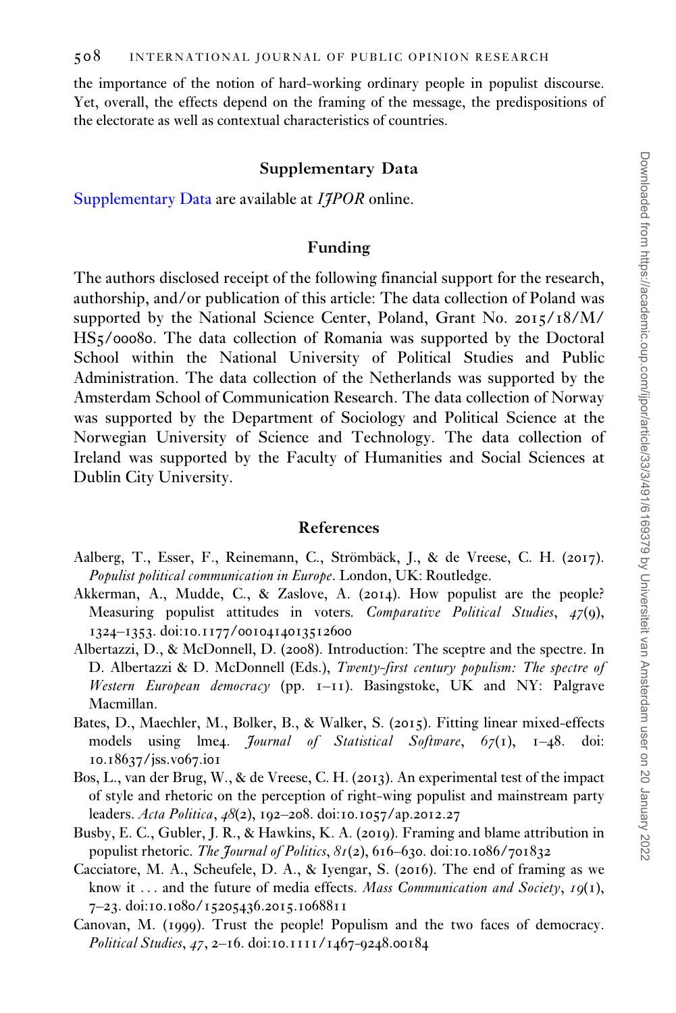<span id="page-18-0"></span>the importance of the notion of hard-working ordinary people in populist discourse. Yet, overall, the effects depend on the framing of the message, the predispositions of the electorate as well as contextual characteristics of countries.

### Supplementary Data

[Supplementary Data](https://academic.oup.com/ijpor/article-lookup/doi/10.1093/ijpor/edaa018#supplementary-data) are available at *IIPOR* online.

# Funding

The authors disclosed receipt of the following financial support for the research, authorship, and/or publication of this article: The data collection of Poland was supported by the National Science Center, Poland, Grant No. 2015/18/M/ HS5/00080. The data collection of Romania was supported by the Doctoral School within the National University of Political Studies and Public Administration. The data collection of the Netherlands was supported by the Amsterdam School of Communication Research. The data collection of Norway was supported by the Department of Sociology and Political Science at the Norwegian University of Science and Technology. The data collection of Ireland was supported by the Faculty of Humanities and Social Sciences at Dublin City University.

#### References

- Aalberg, T., Esser, F., Reinemann, C., Strömbäck, J., & de Vreese, C. H. (2017). Populist political communication in Europe. London, UK: Routledge.
- Akkerman, A., Mudde, C., & Zaslove, A. (2014). How populist are the people? Measuring populist attitudes in voters. Comparative Political Studies, 47(9), 1324–1353. doi:10.1177/0010414013512600
- Albertazzi, D., & McDonnell, D. (2008). Introduction: The sceptre and the spectre. In D. Albertazzi & D. McDonnell (Eds.), Twenty-first century populism: The spectre of Western European democracy (pp.  $I-II$ ). Basingstoke, UK and NY: Palgrave Macmillan.
- Bates, D., Maechler, M., Bolker, B., & Walker, S. (2015). Fitting linear mixed-effects models using lme4. *Journal of Statistical Software*,  $67(1)$ ,  $1-48$ . doi: 10.18637/jss.v067.i01
- Bos, L., van der Brug, W., & de Vreese, C. H. (2013). An experimental test of the impact of style and rhetoric on the perception of right-wing populist and mainstream party leaders. Acta Politica, 48(2), 192–208. doi:10.1057/ap.2012.27
- Busby, E. C., Gubler, J. R., & Hawkins, K. A. (2019). Framing and blame attribution in populist rhetoric. The Journal of Politics,  $8I(2)$ , 616–630. doi:10.1086/701832
- Cacciatore, M. A., Scheufele, D. A., & Iyengar, S. (2016). The end of framing as we know it ... and the future of media effects. Mass *Communication and Society*,  $19(1)$ , 7–23. doi:10.1080/15205436.2015.1068811
- Canovan, M. (1999). Trust the people! Populism and the two faces of democracy. Political Studies, 47, 2–16. doi:10.1111/1467-9248.00184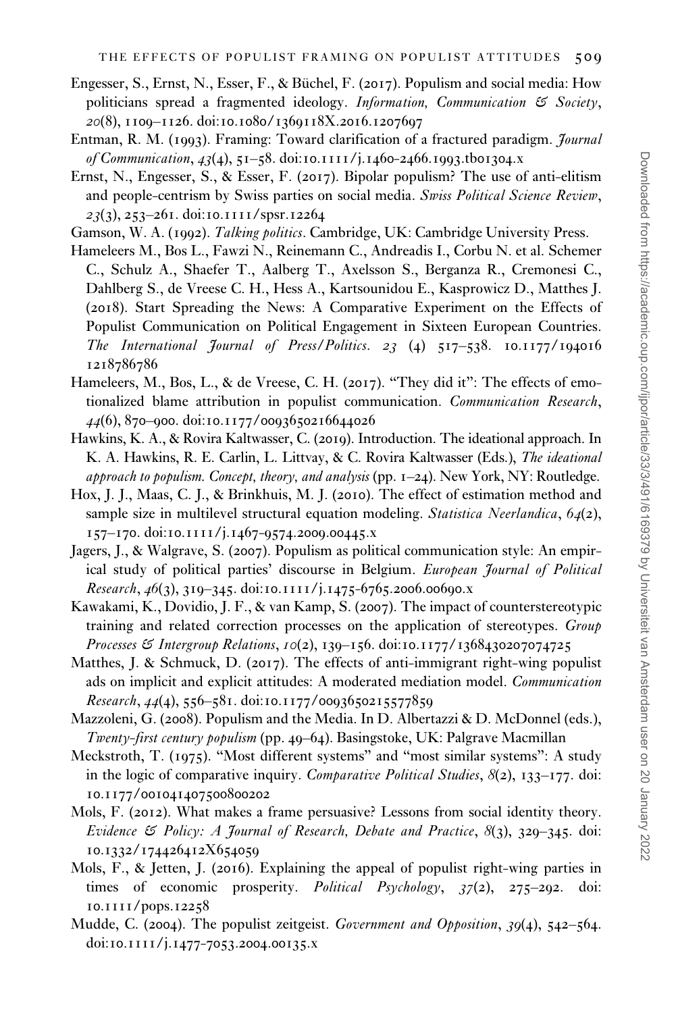- <span id="page-19-0"></span>Engesser, S., Ernst, N., Esser, F., & Büchel, F. (2017). Populism and social media: How politicians spread a fragmented ideology. Information, Communication  $\mathfrak{S}$  Society, 20(8), 1109–1126. doi:10.1080/1369118X.2016.1207697
- Entman, R. M. (1993). Framing: Toward clarification of a fractured paradigm. Journal of Communication, 43(4), 51–58. doi:10.1111/j.1460-2466.1993.tb01304.x
- Ernst, N., Engesser, S., & Esser, F. (2017). Bipolar populism? The use of anti-elitism and people-centrism by Swiss parties on social media. Swiss Political Science Review, 23(3), 253–261. doi:10.1111/spsr.12264
- Gamson, W. A. (1992). Talking politics. Cambridge, UK: Cambridge University Press.
- Hameleers M., Bos L., Fawzi N., Reinemann C., Andreadis I., Corbu N. et al. Schemer C., Schulz A., Shaefer T., Aalberg T., Axelsson S., Berganza R., Cremonesi C., Dahlberg S., de Vreese C. H., Hess A., Kartsounidou E., Kasprowicz D., Matthes J. (2018). Start Spreading the News: A Comparative Experiment on the Effects of Populist Communication on Political Engagement in Sixteen European Countries. The International Journal of Press/Politics. 23 (4) 517–538. 10.1177/194016 1218786786
- Hameleers, M., Bos, L., & de Vreese, C. H. (2017). "They did it": The effects of emotionalized blame attribution in populist communication. Communication Research, 44(6), 870–900. doi:10.1177/0093650216644026
- Hawkins, K. A., & Rovira Kaltwasser, C. (2019). Introduction. The ideational approach. In K. A. Hawkins, R. E. Carlin, L. Littvay, & C. Rovira Kaltwasser (Eds.), The ideational approach to populism. Concept, theory, and analysis (pp.  $1-24$ ). New York, NY: Routledge.
- Hox, J. J., Maas, C. J., & Brinkhuis, M. J. (2010). The effect of estimation method and sample size in multilevel structural equation modeling. Statistica Neerlandica, 64(2), 157–170. doi:10.1111/j.1467-9574.2009.00445.x
- Jagers, J., & Walgrave, S. (2007). Populism as political communication style: An empirical study of political parties' discourse in Belgium. European Journal of Political Research,  $46(3)$ ,  $319-345$ . doi:10.1111/j.1475-6765.2006.00690.x
- Kawakami, K., Dovidio, J. F., & van Kamp, S. (2007). The impact of counterstereotypic training and related correction processes on the application of stereotypes. Group Processes & Intergroup Relations, 10(2), 139–156. doi:10.1177/1368430207074725
- Matthes, J. & Schmuck, D. (2017). The effects of anti-immigrant right-wing populist ads on implicit and explicit attitudes: A moderated mediation model. Communication Research, 44(4), 556–581. doi:10.1177/0093650215577859
- Mazzoleni, G. (2008). Populism and the Media. In D. Albertazzi & D. McDonnel (eds.), Twenty-first century populism (pp. 49–64). Basingstoke, UK: Palgrave Macmillan
- Meckstroth, T. (1975). "Most different systems" and "most similar systems": A study in the logic of comparative inquiry. Comparative Political Studies,  $8(2)$ , 133–177. doi: 10.1177/001041407500800202
- Mols, F. (2012). What makes a frame persuasive? Lessons from social identity theory. Evidence  $\mathfrak S$  Policy: A Journal of Research, Debate and Practice,  $\mathfrak{K}(3)$ , 329–345. doi: 10.1332/174426412X654059
- Mols, F., & Jetten, J. (2016). Explaining the appeal of populist right-wing parties in times of economic prosperity. Political Psychology, 37(2), 275–292. doi: 10.1111/pops.12258
- Mudde, C. (2004). The populist zeitgeist. Government and Opposition, 39(4), 542–564. doi:10.1111/j.1477-7053.2004.00135.x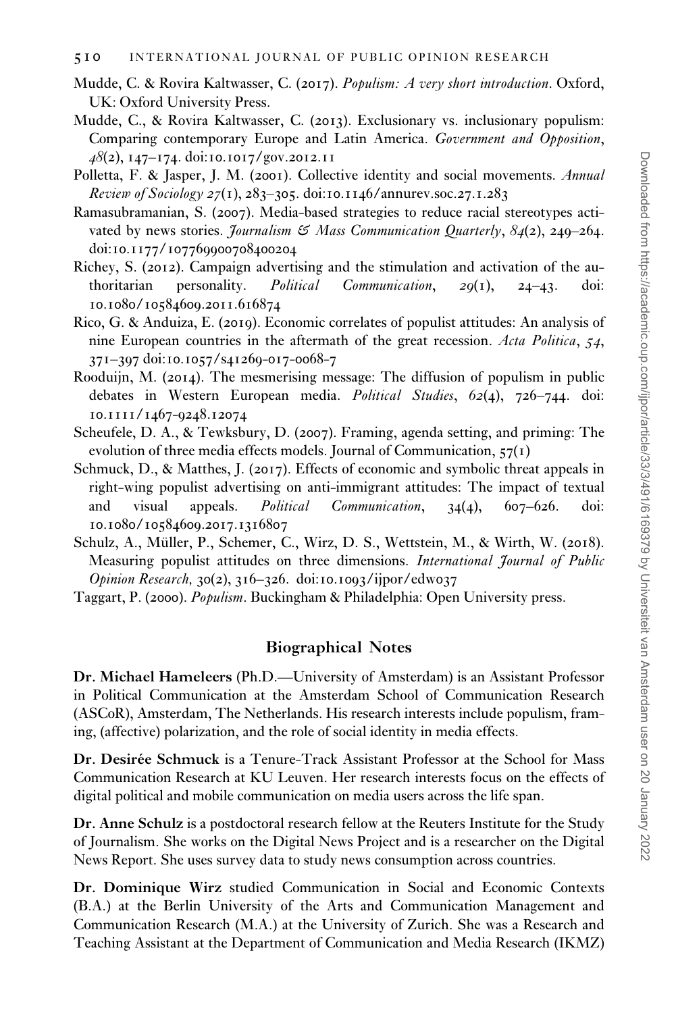- <span id="page-20-0"></span>Mudde, C. & Rovira Kaltwasser, C. (2017). Populism: A very short introduction. Oxford, UK: Oxford University Press.
- Mudde, C., & Rovira Kaltwasser, C. (2013). Exclusionary vs. inclusionary populism: Comparing contemporary Europe and Latin America. Government and Opposition, 48(2), 147–174. doi:10.1017/gov.2012.11
- Polletta, F. & Jasper, J. M. (2001). Collective identity and social movements. Annual Review of Sociology 27(1), 283-305. doi:10.1146/annurev.soc.27.1.283
- Ramasubramanian, S. (2007). Media-based strategies to reduce racial stereotypes activated by news stories. *Journalism*  $\mathfrak{S}$  Mass Communication Quarterly, 84(2), 240–264. doi:10.1177/107769900708400204
- Richey, S. (2012). Campaign advertising and the stimulation and activation of the authoritarian personality. Political Communication, 29(1), 24–43. doi: 10.1080/10584609.2011.616874
- Rico, G. & Anduiza, E. (2019). Economic correlates of populist attitudes: An analysis of nine European countries in the aftermath of the great recession. Acta Politica, 54, 371–397 doi:10.1057/s41269-017-0068-7
- Rooduijn, M. (2014). The mesmerising message: The diffusion of populism in public debates in Western European media. Political Studies, 62(4), 726–744. doi: 10.1111/1467-9248.12074
- Scheufele, D. A., & Tewksbury, D. (2007). Framing, agenda setting, and priming: The evolution of three media effects models. Journal of Communication,  $57(1)$
- Schmuck, D., & Matthes, J. (2017). Effects of economic and symbolic threat appeals in right-wing populist advertising on anti-immigrant attitudes: The impact of textual and visual appeals. *Political Communication*,  $34(4)$ ,  $607-626$ . doi: 10.1080/10584609.2017.1316807
- Schulz, A., Müller, P., Schemer, C., Wirz, D. S., Wettstein, M., & Wirth, W. (2018). Measuring populist attitudes on three dimensions. International Journal of Public Opinion Research, 30(2), 316–326. doi:10.1093/ijpor/edw037
- Taggart, P. (2000). Populism. Buckingham & Philadelphia: Open University press.

# Biographical Notes

Dr. Michael Hameleers (Ph.D.—University of Amsterdam) is an Assistant Professor in Political Communication at the Amsterdam School of Communication Research (ASCoR), Amsterdam, The Netherlands. His research interests include populism, framing, (affective) polarization, and the role of social identity in media effects.

Dr. Desirée Schmuck is a Tenure-Track Assistant Professor at the School for Mass Communication Research at KU Leuven. Her research interests focus on the effects of digital political and mobile communication on media users across the life span.

Dr. Anne Schulz is a postdoctoral research fellow at the Reuters Institute for the Study of Journalism. She works on the Digital News Project and is a researcher on the Digital News Report. She uses survey data to study news consumption across countries.

Dr. Dominique Wirz studied Communication in Social and Economic Contexts (B.A.) at the Berlin University of the Arts and Communication Management and Communication Research (M.A.) at the University of Zurich. She was a Research and Teaching Assistant at the Department of Communication and Media Research (IKMZ)